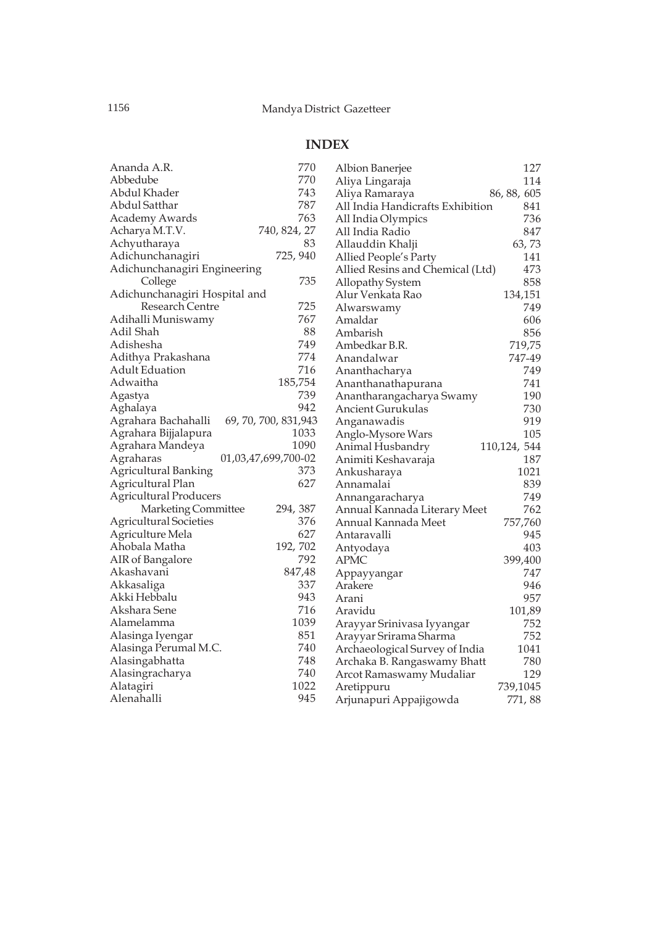## **INDEX**

| Ananda A.R.                   | 770                   | Albion Banerjee                  | 127          |
|-------------------------------|-----------------------|----------------------------------|--------------|
| Abbedube                      | 770                   | Aliya Lingaraja                  | 114          |
| Abdul Khader                  | 743                   | Aliya Ramaraya                   | 86, 88, 605  |
| Abdul Satthar                 | 787                   | All India Handicrafts Exhibition | 841          |
| <b>Academy Awards</b>         | 763                   | All India Olympics               | 736          |
| Acharya M.T.V.                | 740, 824, 27          | All India Radio                  | 847          |
| Achyutharaya                  | 83                    | Allauddin Khalji                 | 63,73        |
| Adichunchanagiri              | 725, 940              | Allied People's Party            | 141          |
| Adichunchanagiri Engineering  |                       | Allied Resins and Chemical (Ltd) | 473          |
| College                       | 735                   | Allopathy System                 | 858          |
| Adichunchanagiri Hospital and |                       | Alur Venkata Rao                 | 134,151      |
| Research Centre               | 725                   | Alwarswamy                       | 749          |
| Adihalli Muniswamy            | 767                   | Amaldar                          | 606          |
| Adil Shah                     | 88                    | Ambarish                         | 856          |
| Adishesha                     | 749                   | Ambedkar B.R.                    | 719,75       |
| Adithya Prakashana            | 774                   | Anandalwar                       | 747-49       |
| <b>Adult Eduation</b>         | 716                   | Ananthacharya                    | 749          |
| Adwaitha                      | 185,754               | Ananthanathapurana               | 741          |
| Agastya                       | 739                   | Anantharangacharya Swamy         | 190          |
| Aghalaya                      | 942                   | Ancient Gurukulas                | 730          |
| Agrahara Bachahalli           | 69, 70, 700, 831, 943 | Anganawadis                      | 919          |
| Agrahara Bijjalapura          | 1033                  | Anglo-Mysore Wars                | 105          |
| Agrahara Mandeya              | 1090                  | Animal Husbandry                 | 110,124, 544 |
| Agraharas                     | 01,03,47,699,700-02   | Animiti Keshavaraja              | 187          |
| Agricultural Banking          | 373                   | Ankusharaya                      | 1021         |
| Agricultural Plan             | 627                   | Annamalai                        | 839          |
| <b>Agricultural Producers</b> |                       | Annangaracharya                  | 749          |
| Marketing Committee           | 294, 387              | Annual Kannada Literary Meet     | 762          |
| <b>Agricultural Societies</b> | 376                   | Annual Kannada Meet              | 757,760      |
| Agriculture Mela              | 627                   | Antaravalli                      | 945          |
| Ahobala Matha                 | 192, 702              | Antyodaya                        | 403          |
| AIR of Bangalore              | 792                   | <b>APMC</b>                      | 399,400      |
| Akashavani                    | 847,48                | Appayyangar                      | 747          |
| Akkasaliga                    | 337                   | Arakere                          | 946          |
| Akki Hebbalu                  | 943                   | Arani                            | 957          |
| Akshara Sene                  | 716                   | Aravidu                          | 101,89       |
| Alamelamma                    | 1039                  | Arayyar Srinivasa Iyyangar       | 752          |
| Alasinga Iyengar              | 851                   | Arayyar Srirama Sharma           | 752          |
| Alasinga Perumal M.C.         | 740                   | Archaeological Survey of India   | 1041         |
| Alasingabhatta                | 748                   | Archaka B. Rangaswamy Bhatt      | 780          |
| Alasingracharya               | 740                   | Arcot Ramaswamy Mudaliar         | 129          |
| Alatagiri                     | 1022                  | Aretippuru                       | 739,1045     |
| Alenahalli                    | 945                   | Arjunapuri Appajigowda           | 771,88       |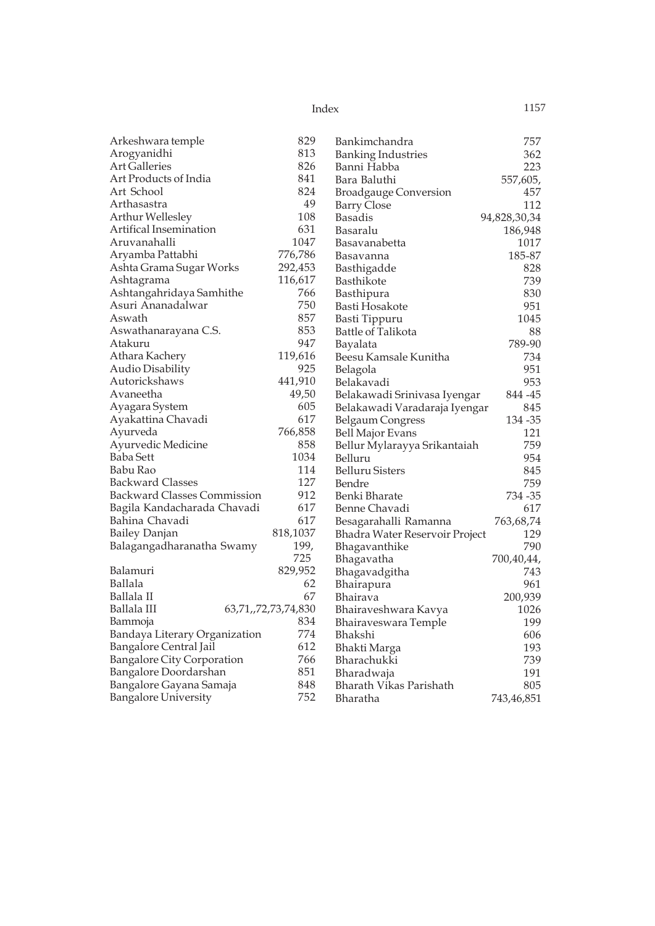| Arkeshwara temple                  | 829                 | Bankimchandra                  | 757          |
|------------------------------------|---------------------|--------------------------------|--------------|
| Arogyanidhi                        | 813                 | <b>Banking Industries</b>      | 362          |
| <b>Art Galleries</b>               | 826                 | Banni Habba                    | 223          |
| Art Products of India              | 841                 | Bara Baluthi                   | 557,605,     |
| Art School                         | 824                 | <b>Broadgauge Conversion</b>   | 457          |
| Arthasastra                        | 49                  | <b>Barry Close</b>             | 112          |
| Arthur Wellesley                   | 108                 | Basadis                        | 94,828,30,34 |
| Artifical Insemination             | 631                 | Basaralu                       | 186,948      |
| Aruvanahalli                       | 1047                | Basavanabetta                  | 1017         |
| Aryamba Pattabhi                   | 776,786             | Basavanna                      | 185-87       |
| Ashta Grama Sugar Works            | 292,453             | Basthigadde                    | 828          |
| Ashtagrama                         | 116,617             | Basthikote                     | 739          |
| Ashtangahridaya Samhithe           | 766                 | Basthipura                     | 830          |
| Asuri Ananadalwar                  | 750                 | Basti Hosakote                 | 951          |
| Aswath                             | 857                 | Basti Tippuru                  | 1045         |
| Aswathanarayana C.S.               | 853                 | Battle of Talikota             | 88           |
| Atakuru                            | 947                 | Bayalata                       | 789-90       |
| Athara Kachery                     | 119,616             | Beesu Kamsale Kunitha          | 734          |
| Audio Disability                   | 925                 | Belagola                       | 951          |
| Autorickshaws                      | 441,910             | Belakavadi                     | 953          |
| Avaneetha                          | 49,50               | Belakawadi Srinivasa Iyengar   | 844 - 45     |
| Ayagara System                     | 605                 | Belakawadi Varadaraja Iyengar  | 845          |
| Ayakattina Chavadi                 | 617                 | <b>Belgaum Congress</b>        | 134 - 35     |
| Ayurveda                           | 766,858             | <b>Bell Major Evans</b>        | 121          |
| Ayurvedic Medicine                 | 858                 | Bellur Mylarayya Srikantaiah   | 759          |
| <b>Baba Sett</b>                   | 1034                | Belluru                        | 954          |
| Babu Rao                           | 114                 | <b>Belluru Sisters</b>         | 845          |
| <b>Backward Classes</b>            | 127                 | Bendre                         | 759          |
| <b>Backward Classes Commission</b> | 912                 | Benki Bharate                  | 734 - 35     |
| Bagila Kandacharada Chavadi        | 617                 | Benne Chavadi                  | 617          |
| Bahina Chavadi                     | 617                 | Besagarahalli Ramanna          | 763,68,74    |
| Bailey Danjan                      | 818,1037            | Bhadra Water Reservoir Project | 129          |
| Balagangadharanatha Swamy          | 199,                | Bhagavanthike                  | 790          |
|                                    | 725                 | Bhagavatha                     | 700,40,44,   |
| Balamuri                           | 829,952             | Bhagavadgitha                  | 743          |
| Ballala                            | 62                  | Bhairapura                     | 961          |
| Ballala II                         | 67                  | Bhairava                       | 200,939      |
| Ballala III                        | 63,71,,72,73,74,830 | Bhairaveshwara Kavya           | 1026         |
| Bammoja                            | 834                 | Bhairaveswara Temple           | 199          |
| Bandaya Literary Organization      | 774                 | Bhakshi                        | 606          |
| <b>Bangalore Central Jail</b>      | 612                 | Bhakti Marga                   | 193          |
| <b>Bangalore City Corporation</b>  | 766                 | Bharachukki                    | 739          |
| Bangalore Doordarshan              | 851                 | Bharadwaja                     | 191          |
| Bangalore Gayana Samaja            | 848                 | Bharath Vikas Parishath        | 805          |
| <b>Bangalore University</b>        | 752                 | Bharatha                       | 743,46,851   |
|                                    |                     |                                |              |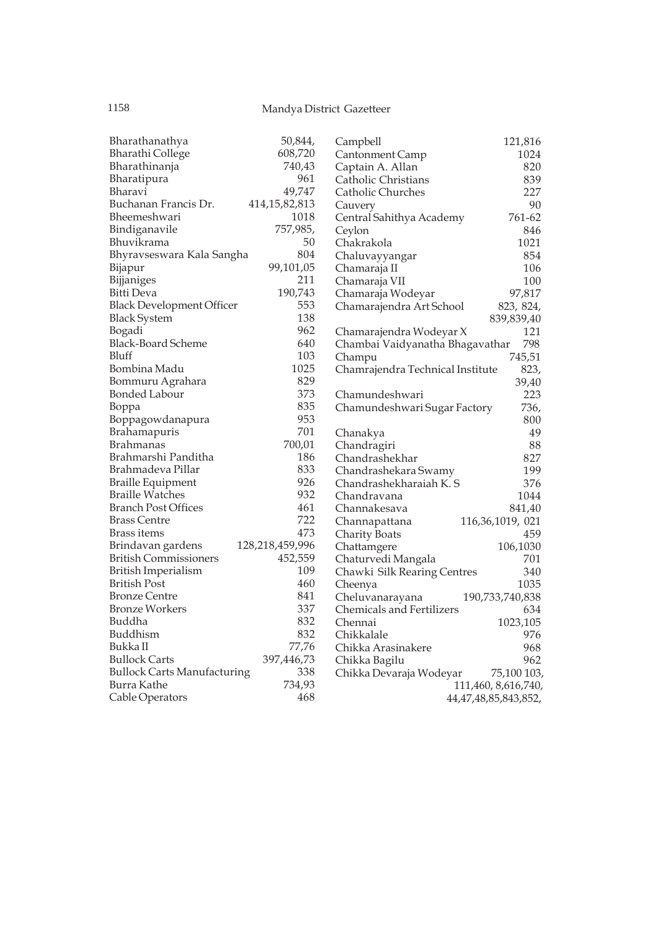| Bharathanathya                     | 50,844,          | Campbell                         | 121,816              |
|------------------------------------|------------------|----------------------------------|----------------------|
| <b>Bharathi College</b>            | 608,720          | Cantonment Camp                  | 1024                 |
| Bharathinanja                      | 740,43           | Captain A. Allan                 | 820                  |
| Bharatipura                        | 961              | Catholic Christians              | 839                  |
| Bharavi                            | 49,747           | Catholic Churches                | 227                  |
| Buchanan Francis Dr.               | 414, 15, 82, 813 | Cauvery                          | 90                   |
| Bheemeshwari                       | 1018             | Central Sahithya Academy         | 761-62               |
| Bindiganavile                      | 757,985,         | Ceylon                           | 846                  |
| Bhuvikrama                         | 50               | Chakrakola                       | 1021                 |
| Bhyravseswara Kala Sangha          | 804              | Chaluvayyangar                   | 854                  |
| Bijapur                            | 99,101,05        | Chamaraja II                     | 106                  |
| Bijjaniges                         | 211              | Chamaraja VII                    | 100                  |
| Bitti Deva                         | 190,743          | Chamaraja Wodeyar                | 97,817               |
| <b>Black Development Officer</b>   | 553              | Chamarajendra Art School         | 823, 824,            |
| <b>Black System</b>                | 138              |                                  | 839,839,40           |
| Bogadi                             | 962              | Chamarajendra Wodeyar X          | 121                  |
| <b>Black-Board Scheme</b>          | 640              | Chambai Vaidyanatha Bhagavathar  | 798                  |
| Bluff                              | 103              | Champu                           | 745,51               |
| Bombina Madu                       | 1025             | Chamrajendra Technical Institute | 823,                 |
| Bommuru Agrahara                   | 829              |                                  | 39,40                |
| Bonded Labour                      | 373              | Chamundeshwari                   | 223                  |
| Boppa                              | 835              | Chamundeshwari Sugar Factory     | 736,                 |
| Boppagowdanapura                   | 953              |                                  | 800                  |
| <b>Brahamapuris</b>                | 701              | Chanakya                         | 49                   |
| <b>Brahmanas</b>                   | 700,01           | Chandragiri                      | 88                   |
| Brahmarshi Panditha                | 186              | Chandrashekhar                   | 827                  |
| Brahmadeva Pillar                  | 833              | Chandrashekara Swamy             | 199                  |
| <b>Braille Equipment</b>           | 926              | Chandrashekharaiah K. S          | 376                  |
| <b>Braille Watches</b>             | 932              | Chandravana                      | 1044                 |
| <b>Branch Post Offices</b>         | 461              | Channakesava                     | 841,40               |
| <b>Brass Centre</b>                | 722              | Channapattana                    | 116,36,1019, 021     |
| Brass items                        | 473              | <b>Charity Boats</b>             | 459                  |
| Brindavan gardens                  | 128,218,459,996  | Chattamgere                      | 106,1030             |
| <b>British Commissioners</b>       | 452,559          | Chaturvedi Mangala               | 701                  |
| <b>British Imperialism</b>         | 109              | Chawki Silk Rearing Centres      | 340                  |
| British Post                       | 460              | Cheenya                          | 1035                 |
| <b>Bronze Centre</b>               | 841              | Cheluvanarayana                  | 190,733,740,838      |
| <b>Bronze Workers</b>              | 337              | <b>Chemicals and Fertilizers</b> | 634                  |
| Buddha                             | 832              | Chennai                          | 1023,105             |
| Buddhism                           | 832              | Chikkalale                       | 976                  |
| Bukka II                           | 77,76            | Chikka Arasinakere               | 968                  |
| <b>Bullock Carts</b>               | 397,446,73       | Chikka Bagilu                    | 962                  |
| <b>Bullock Carts Manufacturing</b> | 338              | Chikka Devaraja Wodeyar          | 75,100 103,          |
| Burra Kathe                        | 734,93           |                                  | 111,460, 8,616,740,  |
| Cable Operators                    | 468              |                                  | 44,47,48,85,843,852, |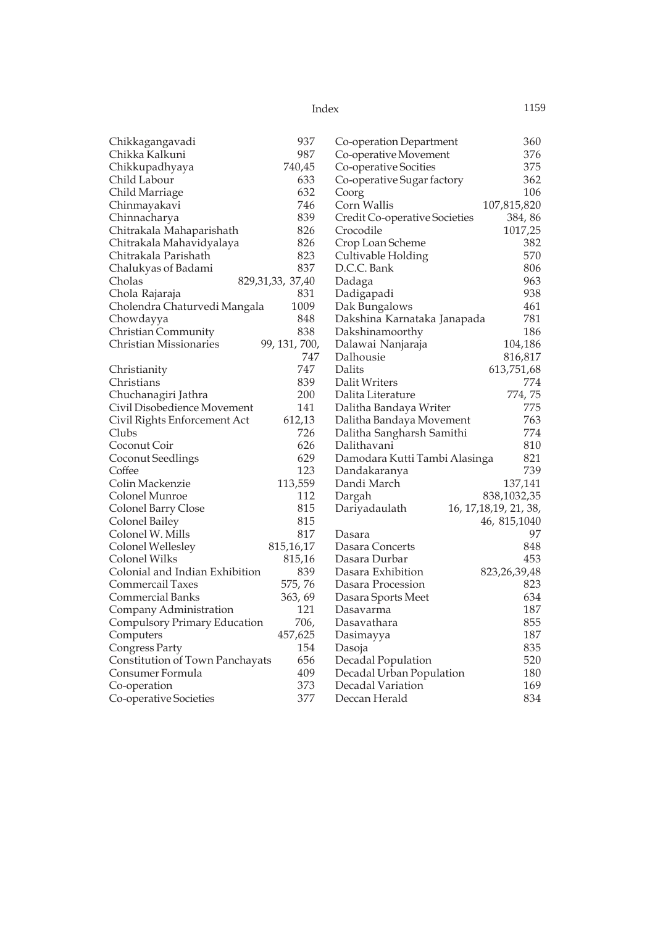| Index | 1159 |
|-------|------|
|       |      |

| Chikkagangavadi                 | 937                 | Co-operation Department       | 360                     |
|---------------------------------|---------------------|-------------------------------|-------------------------|
| Chikka Kalkuni                  | 987                 | Co-operative Movement         | 376                     |
| Chikkupadhyaya                  | 740,45              | Co-operative Socities         | 375                     |
| Child Labour                    | 633                 | Co-operative Sugar factory    | 362                     |
| Child Marriage                  | 632                 | Coorg                         | 106                     |
| Chinmayakavi                    | 746                 | Corn Wallis                   | 107,815,820             |
| Chinnacharya                    | 839                 | Credit Co-operative Societies | 384, 86                 |
| Chitrakala Mahaparishath        | 826                 | Crocodile                     | 1017,25                 |
| Chitrakala Mahavidyalaya        | 826                 | Crop Loan Scheme              | 382                     |
| Chitrakala Parishath            | 823                 | Cultivable Holding            | 570                     |
| Chalukyas of Badami             | 837                 | D.C.C. Bank                   | 806                     |
| Cholas                          | 829, 31, 33, 37, 40 | Dadaga                        | 963                     |
| Chola Rajaraja                  | 831                 | Dadigapadi                    | 938                     |
| Cholendra Chaturvedi Mangala    | 1009                | Dak Bungalows                 | 461                     |
| Chowdayya                       | 848                 | Dakshina Karnataka Janapada   | 781                     |
| Christian Community             | 838                 | Dakshinamoorthy               | 186                     |
| <b>Christian Missionaries</b>   | 99, 131, 700,       | Dalawai Nanjaraja             | 104,186                 |
|                                 | 747                 | Dalhousie                     | 816,817                 |
| Christianity                    | 747                 | Dalits                        | 613,751,68              |
| Christians                      | 839                 | Dalit Writers                 | 774                     |
| Chuchanagiri Jathra             | 200                 | Dalita Literature             | 774,75                  |
| Civil Disobedience Movement     | 141                 | Dalitha Bandaya Writer        | 775                     |
| Civil Rights Enforcement Act    | 612,13              | Dalitha Bandaya Movement      | 763                     |
| Clubs                           | 726                 | Dalitha Sangharsh Samithi     | 774                     |
| Coconut Coir                    | 626                 | Dalithavani                   | 810                     |
| Coconut Seedlings               | 629                 | Damodara Kutti Tambi Alasinga | 821                     |
| Coffee                          | 123                 | Dandakaranya                  | 739                     |
| Colin Mackenzie                 | 113,559             | Dandi March                   | 137,141                 |
| Colonel Munroe                  | 112                 | Dargah                        | 838,1032,35             |
| Colonel Barry Close             | 815                 | Dariyadaulath                 | 16, 17, 18, 19, 21, 38, |
| Colonel Bailey                  | 815                 |                               | 46, 815, 1040           |
| Colonel W. Mills                | 817                 | Dasara                        | 97                      |
| Colonel Wellesley               | 815,16,17           | Dasara Concerts               | 848                     |
| Colonel Wilks                   | 815,16              | Dasara Durbar                 | 453                     |
| Colonial and Indian Exhibition  | 839                 | Dasara Exhibition             | 823, 26, 39, 48         |
| Commercail Taxes                | 575,76              | Dasara Procession             | 823                     |
| <b>Commercial Banks</b>         | 363, 69             | Dasara Sports Meet            | 634                     |
| Company Administration          | 121                 | Dasavarma                     | 187                     |
| Compulsory Primary Education    | 706,                | Dasavathara                   | 855                     |
| Computers                       | 457,625             | Dasimayya                     | 187                     |
| Congress Party                  | 154                 | Dasoja                        | 835                     |
| Constitution of Town Panchayats | 656                 | Decadal Population            | 520                     |
| Consumer Formula                | 409                 | Decadal Urban Population      | 180                     |
|                                 | 373                 | Decadal Variation             | 169                     |
| Co-operation                    |                     |                               |                         |
| Co-operative Societies          | 377                 | Deccan Herald                 | 834                     |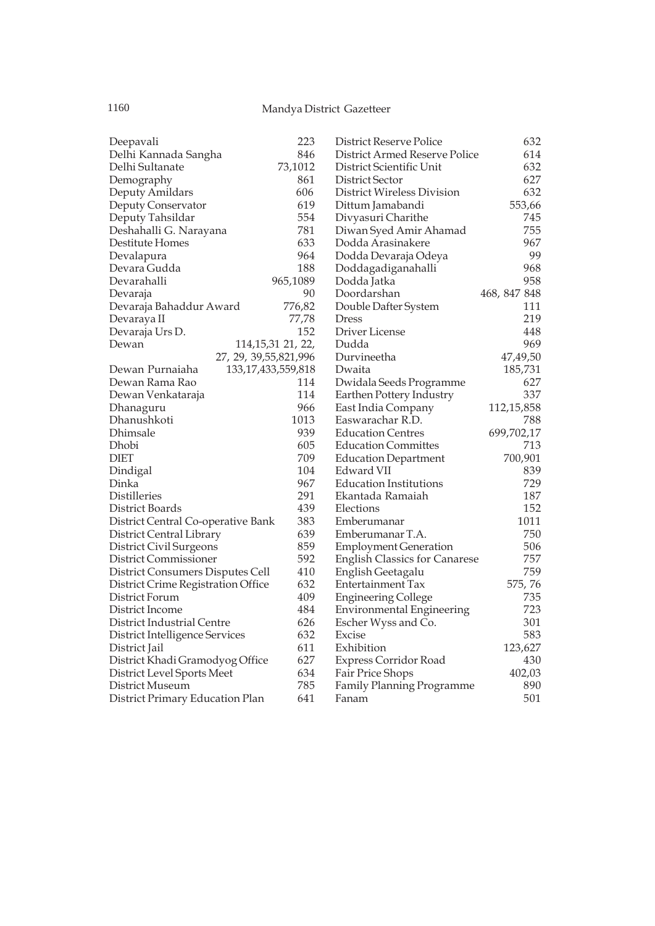| Deepavali                          | 223                    | <b>District Reserve Police</b>       | 632          |
|------------------------------------|------------------------|--------------------------------------|--------------|
| Delhi Kannada Sangha               | 846                    | District Armed Reserve Police        | 614          |
| Delhi Sultanate                    | 73,1012                | District Scientific Unit             | 632          |
| Demography                         | 861                    | District Sector                      | 627          |
| Deputy Amildars                    | 606                    | District Wireless Division           | 632          |
| Deputy Conservator                 | 619                    | Dittum Jamabandi                     | 553,66       |
| Deputy Tahsildar                   | 554                    | Divyasuri Charithe                   | 745          |
| Deshahalli G. Narayana             | 781                    | Diwan Syed Amir Ahamad               | 755          |
| Destitute Homes                    | 633                    | Dodda Arasinakere                    | 967          |
| Devalapura                         | 964                    | Dodda Devaraja Odeya                 | 99           |
| Devara Gudda                       | 188                    | Doddagadiganahalli                   | 968          |
| Devarahalli                        | 965,1089               | Dodda Jatka                          | 958          |
| Devaraja                           | 90                     | Doordarshan                          | 468, 847 848 |
| Devaraja Bahaddur Award            | 776,82                 | Double Dafter System                 | 111          |
| Devaraya II                        | 77,78                  | Dress                                | 219          |
| Devaraja Urs D.                    | 152                    | Driver License                       | 448          |
| Dewan                              | 114, 15, 31 21, 22,    | Dudda                                | 969          |
| 27, 29, 39, 55, 821, 996           |                        | Durvineetha                          | 47,49,50     |
| Dewan Purnaiaha                    | 133, 17, 433, 559, 818 | Dwaita                               | 185,731      |
| Dewan Rama Rao                     | 114                    | Dwidala Seeds Programme              | 627          |
| Dewan Venkataraja                  | 114                    | Earthen Pottery Industry             | 337          |
| Dhanaguru                          | 966                    | East India Company                   | 112,15,858   |
| Dhanushkoti                        | 1013                   | Easwarachar R.D.                     | 788          |
| Dhimsale                           | 939                    | <b>Education Centres</b>             | 699,702,17   |
| Dhobi                              | 605                    | <b>Education Committes</b>           | 713          |
| <b>DIET</b>                        | 709                    | <b>Education Department</b>          | 700,901      |
| Dindigal                           | 104                    | Edward VII                           | 839          |
| Dinka                              | 967                    | <b>Education Institutions</b>        | 729          |
| Distilleries                       | 291                    | Ekantada Ramaiah                     | 187          |
| District Boards                    | 439                    | Elections                            | 152          |
| District Central Co-operative Bank | 383                    | Emberumanar                          | 1011         |
| District Central Library           | 639                    | Emberumanar T.A.                     | 750          |
| District Civil Surgeons            | 859                    | <b>Employment Generation</b>         | 506          |
| District Commissioner              | 592                    | <b>English Classics for Canarese</b> | 757          |
| District Consumers Disputes Cell   | 410                    | English Geetagalu                    | 759          |
| District Crime Registration Office | 632                    | Entertainment Tax                    | 575,76       |
| District Forum                     | 409                    | <b>Engineering College</b>           | 735          |
| District Income                    | 484                    | Environmental Engineering            | 723          |
| District Industrial Centre         | 626                    | Escher Wyss and Co.                  | 301          |
| District Intelligence Services     | 632                    | Excise                               | 583          |
| District Jail                      | 611                    | Exhibition                           | 123,627      |
| District Khadi Gramodyog Office    | 627                    | Express Corridor Road                | 430          |
| District Level Sports Meet         | 634                    | Fair Price Shops                     | 402,03       |
| District Museum                    | 785                    | <b>Family Planning Programme</b>     | 890          |
| District Primary Education Plan    | 641                    | Fanam                                | 501          |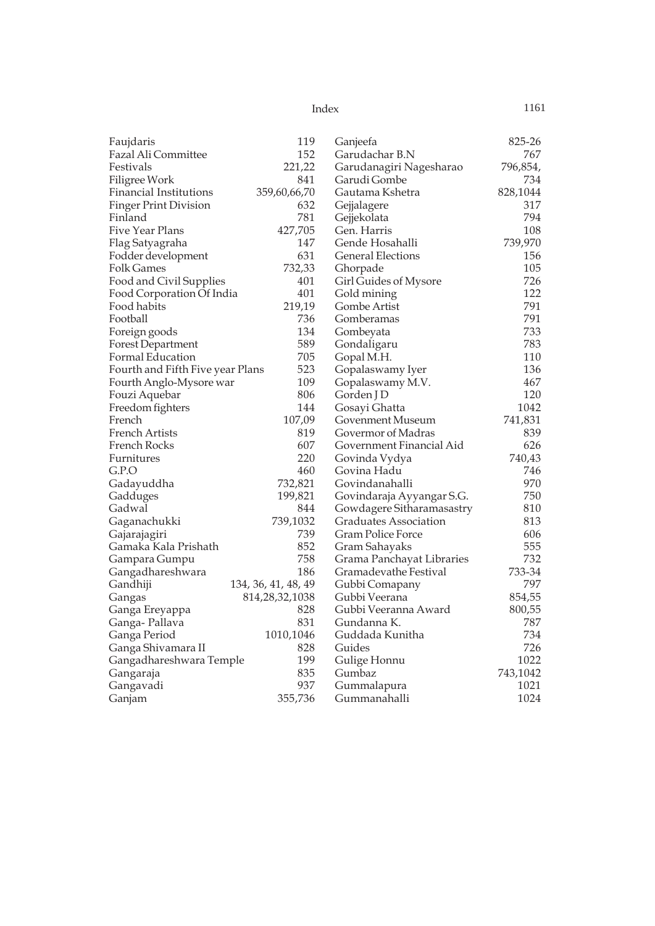| Faujdaris                        | 119                 | Ganjeefa                  | 825-26   |
|----------------------------------|---------------------|---------------------------|----------|
| Fazal Ali Committee              | 152                 | Garudachar B.N            | 767      |
| Festivals                        | 221,22              | Garudanagiri Nagesharao   | 796,854, |
| Filigree Work                    | 841                 | Garudi Gombe              | 734      |
| Financial Institutions           | 359,60,66,70        | Gautama Kshetra           | 828,1044 |
| <b>Finger Print Division</b>     | 632                 | Gejjalagere               | 317      |
| Finland                          | 781                 | Gejjekolata               | 794      |
| Five Year Plans                  | 427,705             | Gen. Harris               | 108      |
| Flag Satyagraha                  | 147                 | Gende Hosahalli           | 739,970  |
| Fodder development               | 631                 | <b>General Elections</b>  | 156      |
| <b>Folk Games</b>                | 732,33              | Ghorpade                  | 105      |
| Food and Civil Supplies          | 401                 | Girl Guides of Mysore     | 726      |
| Food Corporation Of India        | 401                 | Gold mining               | 122      |
| Food habits                      | 219,19              | Gombe Artist              | 791      |
| Football                         | 736                 | Gomberamas                | 791      |
| Foreign goods                    | 134                 | Gombeyata                 | 733      |
| <b>Forest Department</b>         | 589                 | Gondaligaru               | 783      |
| Formal Education                 | 705                 | Gopal M.H.                | 110      |
| Fourth and Fifth Five year Plans | 523                 | Gopalaswamy Iyer          | 136      |
| Fourth Anglo-Mysore war          | 109                 | Gopalaswamy M.V.          | 467      |
| Fouzi Aquebar                    | 806                 | Gorden J D                | 120      |
| Freedom fighters                 | 144                 | Gosayi Ghatta             | 1042     |
| French                           | 107,09              | Govenment Museum          | 741,831  |
| <b>French Artists</b>            | 819                 | Govermor of Madras        | 839      |
| French Rocks                     | 607                 | Government Financial Aid  | 626      |
| Furnitures                       | 220                 | Govinda Vydya             | 740,43   |
| G.P.O                            | 460                 | Govina Hadu               | 746      |
| Gadayuddha                       | 732,821             | Govindanahalli            | 970      |
| Gadduges                         | 199,821             | Govindaraja Ayyangar S.G. | 750      |
| Gadwal                           | 844                 | Gowdagere Sitharamasastry | 810      |
| Gaganachukki                     | 739,1032            | Graduates Association     | 813      |
| Gajarajagiri                     | 739                 | Gram Police Force         | 606      |
| Gamaka Kala Prishath             | 852                 | Gram Sahayaks             | 555      |
| Gampara Gumpu                    | 758                 | Grama Panchayat Libraries | 732      |
| Gangadhareshwara                 | 186                 | Gramadevathe Festival     | 733-34   |
| Gandhiji                         | 134, 36, 41, 48, 49 | Gubbi Comapany            | 797      |
| Gangas                           | 814, 28, 32, 1038   | Gubbi Veerana             | 854,55   |
| Ganga Ereyappa                   | 828                 | Gubbi Veeranna Award      | 800,55   |
| Ganga-Pallava                    | 831                 | Gundanna K.               | 787      |
| Ganga Period                     | 1010,1046           | Guddada Kunitha           | 734      |
| Ganga Shivamara II               | 828                 | Guides                    | 726      |
| Gangadhareshwara Temple          | 199                 | Gulige Honnu              | 1022     |
| Gangaraja                        | 835                 | Gumbaz                    | 743,1042 |
| Gangavadi                        | 937                 | Gummalapura               | 1021     |
| Ganjam                           | 355,736             | Gummanahalli              | 1024     |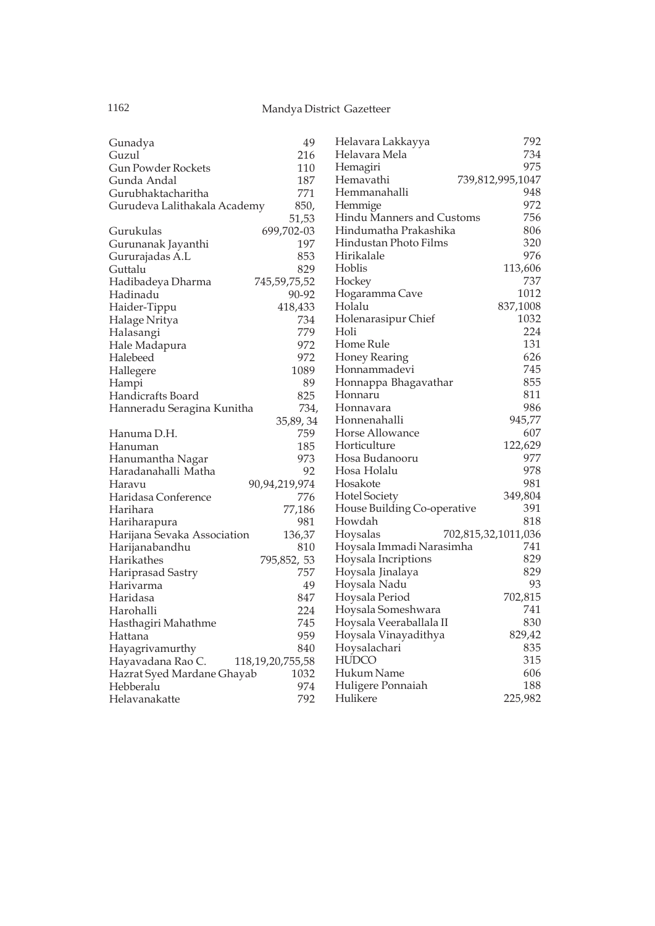| Gunadya                      | 49                   | Helavara Lakkayya           | 792                 |
|------------------------------|----------------------|-----------------------------|---------------------|
| Guzul                        | 216                  | Helavara Mela               | 734                 |
| <b>Gun Powder Rockets</b>    | 110                  | Hemagiri                    | 975                 |
| Gunda Andal                  | 187                  | Hemavathi                   | 739,812,995,1047    |
| Gurubhaktacharitha           | 771                  | Hemmanahalli                | 948                 |
| Gurudeva Lalithakala Academy | 850,                 | Hemmige                     | 972                 |
|                              | 51,53                | Hindu Manners and Customs   | 756                 |
| Gurukulas                    | 699,702-03           | Hindumatha Prakashika       | 806                 |
| Gurunanak Jayanthi           | 197                  | Hindustan Photo Films       | 320                 |
| Gururajadas A.L              | 853                  | Hirikalale                  | 976                 |
| Guttalu                      | 829                  | Hoblis                      | 113,606             |
| Hadibadeya Dharma            | 745,59,75,52         | Hockey                      | 737                 |
| Hadinadu                     | 90-92                | Hogaramma Cave              | 1012                |
| Haider-Tippu                 | 418,433              | Holalu                      | 837,1008            |
| Halage Nritya                | 734                  | Holenarasipur Chief         | 1032                |
| Halasangi                    | 779                  | Holi                        | 224                 |
| Hale Madapura                | 972                  | Home Rule                   | 131                 |
| Halebeed                     | 972                  | <b>Honey Rearing</b>        | 626                 |
| Hallegere                    | 1089                 | Honnammadevi                | 745                 |
| Hampi                        | 89                   | Honnappa Bhagavathar        | 855                 |
| Handicrafts Board            | 825                  | Honnaru                     | 811                 |
| Hanneradu Seragina Kunitha   | 734,                 | Honnavara                   | 986                 |
|                              | 35,89,34             | Honnenahalli                | 945,77              |
| Hanuma D.H.                  | 759                  | Horse Allowance             | 607                 |
| Hanuman                      | 185                  | Horticulture                | 122,629             |
| Hanumantha Nagar             | 973                  | Hosa Budanooru              | 977                 |
| Haradanahalli Matha          | 92                   | Hosa Holalu                 | 978                 |
| Haravu                       | 90,94,219,974        | Hosakote                    | 981                 |
| Haridasa Conference          | 776                  | Hotel Society               | 349,804             |
| Harihara                     | 77,186               | House Building Co-operative | 391                 |
| Hariharapura                 | 981                  | Howdah                      | 818                 |
| Harijana Sevaka Association  | 136,37               | Hoysalas                    | 702,815,32,1011,036 |
| Harijanabandhu               | 810                  | Hoysala Immadi Narasimha    | 741                 |
| Harikathes                   | 795,852, 53          | Hoysala Incriptions         | 829                 |
| Hariprasad Sastry            | 757                  | Hoysala Jinalaya            | 829                 |
| Harivarma                    | 49                   | Hoysala Nadu                | 93                  |
| Haridasa                     | 847                  | Hoysala Period              | 702,815             |
| Harohalli                    | 224                  | Hoysala Someshwara          | 741                 |
| Hasthagiri Mahathme          | 745                  | Hoysala Veeraballala II     | 830                 |
| Hattana                      | 959                  | Hoysala Vinayadithya        | 829,42              |
| Hayagrivamurthy              | 840                  | Hoysalachari                | 835                 |
| Hayavadana Rao C.            | 118, 19, 20, 755, 58 | <b>HUDCO</b>                | 315                 |
| Hazrat Syed Mardane Ghayab   | 1032                 | Hukum Name                  | 606                 |
| Hebberalu                    | 974                  | Huligere Ponnaiah           | 188                 |
| Helavanakatte                | 792                  | Hulikere                    | 225,982             |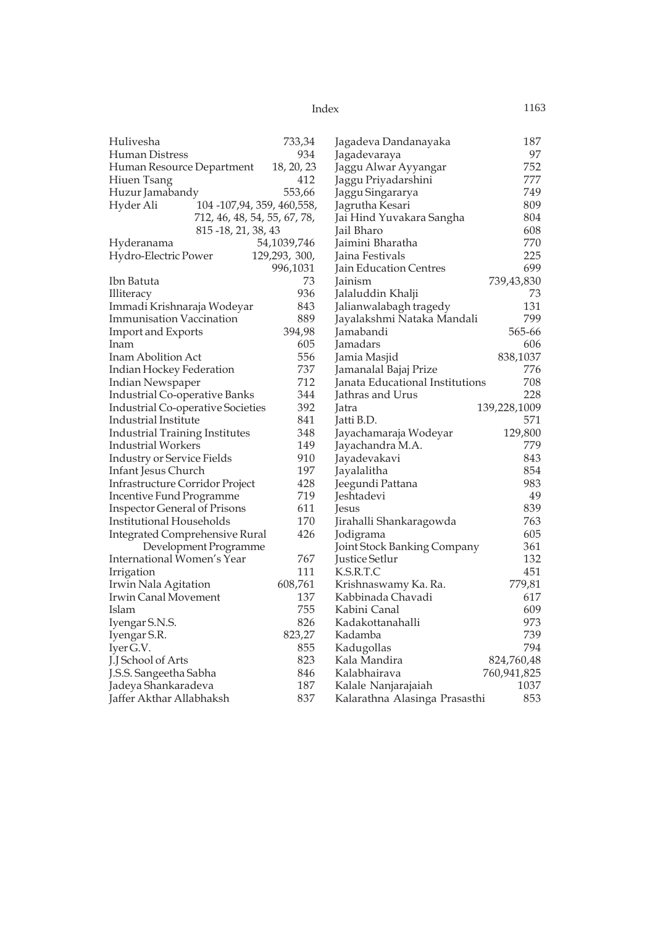| Hulivesha                             |                              | 733,34        | Jagadeva Dandanayaka            | 187          |
|---------------------------------------|------------------------------|---------------|---------------------------------|--------------|
| Human Distress                        |                              | 934           | Jagadevaraya                    | 97           |
| Human Resource Department             |                              | 18, 20, 23    | Jaggu Alwar Ayyangar            | 752          |
| Hiuen Tsang                           |                              | 412           | Jaggu Priyadarshini             | 777          |
| Huzur Jamabandy                       |                              | 553,66        | Jaggu Singararya                | 749          |
| Hyder Ali                             | 104 -107,94, 359, 460,558,   |               | Jagrutha Kesari                 | 809          |
|                                       | 712, 46, 48, 54, 55, 67, 78, |               | Jai Hind Yuvakara Sangha        | 804          |
|                                       | 815-18, 21, 38, 43           |               | Jail Bharo                      | 608          |
| Hyderanama                            |                              | 54,1039,746   | Jaimini Bharatha                | 770          |
| Hydro-Electric Power                  |                              | 129,293, 300, | Jaina Festivals                 | 225          |
|                                       |                              | 996,1031      | Jain Education Centres          | 699          |
| Ibn Batuta                            |                              | 73            | Jainism                         | 739,43,830   |
| Illiteracy                            |                              | 936           | Jalaluddin Khalji               | 73           |
| Immadi Krishnaraja Wodeyar            |                              | 843           | Jalianwalabagh tragedy          | 131          |
| <b>Immunisation Vaccination</b>       |                              | 889           | Jayalakshmi Nataka Mandali      | 799          |
| <b>Import and Exports</b>             |                              | 394,98        | Jamabandi                       | 565-66       |
| Inam                                  |                              | 605           | Jamadars                        | 606          |
| Inam Abolition Act                    |                              | 556           | Jamia Masjid                    | 838,1037     |
| Indian Hockey Federation              |                              | 737           | Jamanalal Bajaj Prize           | 776          |
| Indian Newspaper                      |                              | 712           | Janata Educational Institutions | 708          |
| Industrial Co-operative Banks         |                              | 344           | Jathras and Urus                | 228          |
| Industrial Co-operative Societies     |                              | 392           | Jatra                           | 139,228,1009 |
| Industrial Institute                  |                              | 841           | Jatti B.D.                      | 571          |
| <b>Industrial Training Institutes</b> |                              | 348           | Jayachamaraja Wodeyar           | 129,800      |
| <b>Industrial Workers</b>             |                              | 149           | Jayachandra M.A.                | 779          |
| <b>Industry or Service Fields</b>     |                              | 910           | Jayadevakavi                    | 843          |
| Infant Jesus Church                   |                              | 197           | Jayalalitha                     | 854          |
| Infrastructure Corridor Project       |                              | 428           | Jeegundi Pattana                | 983          |
| <b>Incentive Fund Programme</b>       |                              | 719           | Jeshtadevi                      | 49           |
| <b>Inspector General of Prisons</b>   |                              | 611           | Jesus                           | 839          |
| Institutional Households              |                              | 170           | Jirahalli Shankaragowda         | 763          |
| <b>Integrated Comprehensive Rural</b> |                              | 426           | Jodigrama                       | 605          |
|                                       | Development Programme        |               | Joint Stock Banking Company     | 361          |
| <b>International Women's Year</b>     |                              | 767           | <b>Justice Setlur</b>           | 132          |
| Irrigation                            |                              | 111           | K.S.R.T.C                       | 451          |
| Irwin Nala Agitation                  |                              | 608,761       | Krishnaswamy Ka. Ra.            | 779,81       |
| Irwin Canal Movement                  |                              | 137           | Kabbinada Chavadi               | 617          |
| Islam                                 |                              | 755           | Kabini Canal                    | 609          |
| Iyengar S.N.S.                        |                              | 826           | Kadakottanahalli                | 973          |
| Iyengar S.R.                          |                              | 823,27        | Kadamba                         | 739          |
| Iyer G.V.                             |                              | 855           | Kadugollas                      | 794          |
| J.J School of Arts                    |                              | 823           | Kala Mandira                    | 824,760,48   |
| J.S.S. Sangeetha Sabha                |                              | 846           | Kalabhairava                    | 760,941,825  |
| Jadeya Shankaradeva                   |                              | 187           | Kalale Nanjarajaiah             | 1037         |
| Jaffer Akthar Allabhaksh              |                              | 837           | Kalarathna Alasinga Prasasthi   | 853          |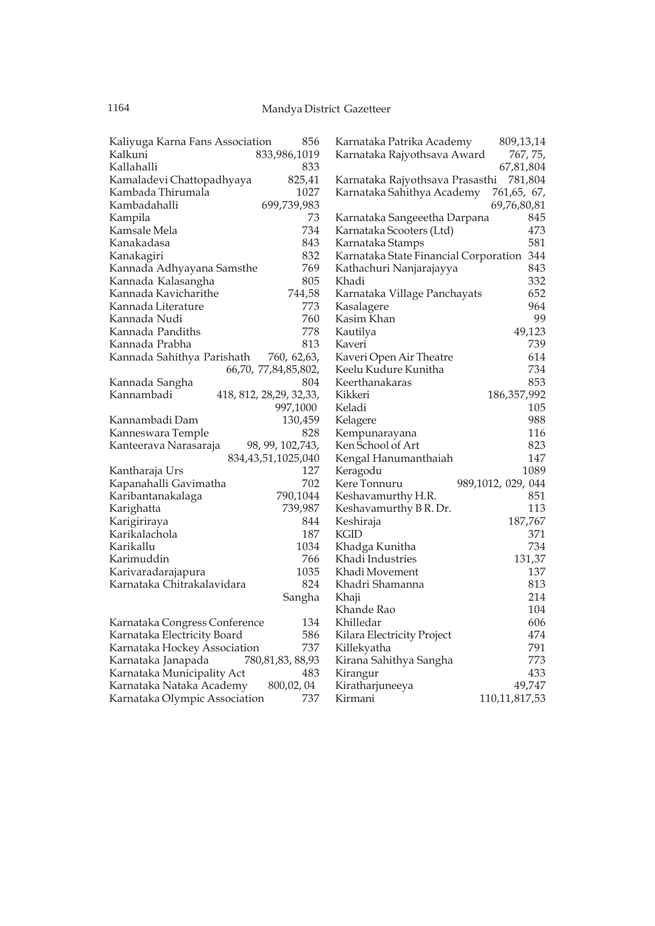| Kaliyuga Karna Fans Association | 809,13,14                                 |
|---------------------------------|-------------------------------------------|
| 856                             | Karnataka Patrika Academy                 |
| Kalkuni                         | 767, 75,                                  |
| 833,986,1019                    | Karnataka Rajyothsava Award               |
| Kallahalli<br>833               | 67,81,804                                 |
| Kamaladevi Chattopadhyaya       | 781,804                                   |
| 825,41                          | Karnataka Rajyothsava Prasasthi           |
| Kambada Thirumala               | Karnataka Sahithya Academy                |
| 1027                            | 761,65, 67,                               |
| Kambadahalli<br>699,739,983     | 69,76,80,81                               |
| 73                              | 845                                       |
| Kampila                         | Karnataka Sangeeetha Darpana              |
| 734                             | 473                                       |
| Kamsale Mela                    | Karnataka Scooters (Ltd)                  |
| Kanakadasa                      | 581                                       |
| 843                             | Karnataka Stamps                          |
| 832<br>Kanakagiri               | Karnataka State Financial Corporation 344 |
| 769                             | 843                                       |
| Kannada Adhyayana Samsthe       | Kathachuri Nanjarajayya                   |
| 805                             | 332                                       |
| Kannada Kalasangha              | Khadi                                     |
| 744,58                          | 652                                       |
| Kannada Kavicharithe            | Karnataka Village Panchayats              |
| 773                             | 964                                       |
| Kannada Literature              | Kasalagere                                |
| 760                             | Kasim Khan                                |
| Kannada Nudi                    | 99                                        |
| 778                             | 49,123                                    |
| Kannada Pandiths                | Kautilya                                  |
| Kannada Prabha                  | 739                                       |
| 813                             | Kaveri                                    |
| Kannada Sahithya Parishath      | Kaveri Open Air Theatre                   |
| 760, 62, 63,                    | 614                                       |
| 66,70, 77,84,85,802,            | Keelu Kudure Kunitha<br>734               |
| 804                             | 853                                       |
| Kannada Sangha                  | Keerthanakaras                            |
| Kannambadi                      | Kikkeri                                   |
| 418, 812, 28, 29, 32, 33,       | 186,357,992                               |
| 997,1000                        | Keladi<br>105                             |
| Kannambadi Dam                  | 988                                       |
| 130,459                         | Kelagere                                  |
| 828                             | 116                                       |
| Kanneswara Temple               | Kempunarayana                             |
| Kanteerava Narasaraja           | Ken School of Art                         |
| 98, 99, 102, 743,               | 823                                       |
| 834, 43, 51, 1025, 040          | 147<br>Kengal Hanumanthaiah               |
| 127                             | Keragodu                                  |
| Kantharaja Urs                  | 1089                                      |
| 702                             | Kere Tonnuru                              |
| Kapanahalli Gavimatha           | 989,1012, 029, 044                        |
| 790,1044                        | 851                                       |
| Karibantanakalaga               | Keshavamurthy H.R.                        |
| 739,987                         | 113                                       |
| Karighatta                      | Keshavamurthy B R. Dr.                    |
| 844                             | 187,767                                   |
| Karigiriraya                    | Keshiraja                                 |
| Karikalachola                   | KGID                                      |
| 187                             | 371                                       |
| 1034                            | 734                                       |
| Karikallu                       | Khadga Kunitha                            |
| 766                             | 131,37                                    |
| Karimuddin                      | Khadi Industries                          |
| 1035                            | Khadi Movement                            |
| Karivaradarajapura              | 137                                       |
| Karnataka Chitrakalavidara      | Khadri Shamanna                           |
| 824                             | 813                                       |
| Sangha                          | 214<br>Khaji                              |
|                                 | Khande Rao<br>104                         |
| Karnataka Congress Conference   | Khilledar                                 |
| 134                             | 606                                       |
| Karnataka Electricity Board     | 474                                       |
| 586                             | Kilara Electricity Project                |
| 737                             | 791                                       |
| Karnataka Hockey Association    | Killekyatha                               |
| 780, 81, 83, 88, 93             | 773                                       |
| Karnataka Janapada              | Kirana Sahithya Sangha                    |
| Karnataka Municipality Act      | 433                                       |
| 483                             | Kirangur                                  |
| Karnataka Nataka Academy        | 49,747                                    |
| 800,02,04                       | Kiratharjuneeya                           |
| 737                             | 110,11,817,53                             |
| Karnataka Olympic Association   | Kirmani                                   |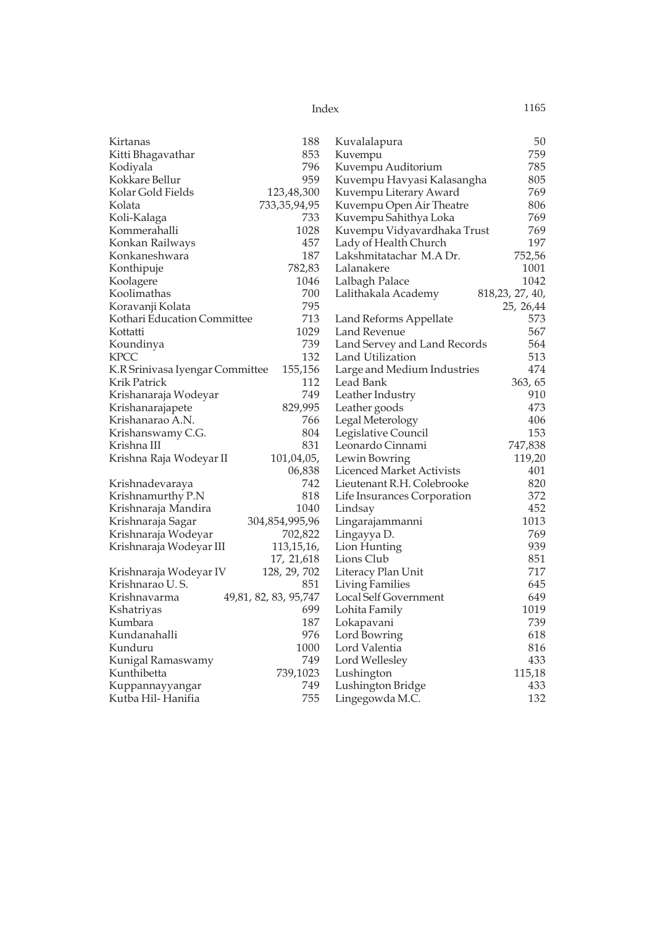| 188<br>50<br>Kirtanas<br>Kuvalalapura<br>853<br>759<br>Kitti Bhagavathar<br>Kuvempu<br>796<br>Kuvempu Auditorium<br>785<br>Kodiyala<br>959<br>805<br>Kokkare Bellur<br>Kuvempu Havyasi Kalasangha<br>769<br>Kolar Gold Fields<br>123,48,300<br>Kuvempu Literary Award<br>Kolata<br>733, 35, 94, 95<br>Kuvempu Open Air Theatre<br>806<br>733<br>769<br>Koli-Kalaga<br>Kuvempu Sahithya Loka<br>1028<br>Kommerahalli<br>Kuvempu Vidyavardhaka Trust<br>769<br>457<br>Lady of Health Church<br>197<br>Konkan Railways<br>187<br>752,56<br>Konkaneshwara<br>Lakshmitatachar M.A Dr.<br>782,83<br>1001<br>Konthipuje<br>Lalanakere<br>1046<br>1042<br>Koolagere<br>Lalbagh Palace<br>700<br>Koolimathas<br>Lalithakala Academy<br>818, 23, 27, 40,<br>795<br>Koravanji Kolata<br>25, 26,44<br>713<br>Kothari Education Committee<br>573<br>Land Reforms Appellate<br>1029<br>567<br>Kottatti<br>Land Revenue<br>739<br>Land Servey and Land Records<br>564<br>Koundinya<br>132<br>513<br>KPCC<br>Land Utilization<br>155,156<br>474<br>K.R Srinivasa Iyengar Committee<br>Large and Medium Industries<br>Krik Patrick<br>112<br>Lead Bank<br>363, 65<br>749<br>Leather Industry<br>910<br>Krishanaraja Wodeyar<br>829,995<br>473<br>Leather goods<br>Krishanarajapete<br>766<br>Legal Meterology<br>Krishanarao A.N.<br>406<br>804<br>Legislative Council<br>153<br>Krishanswamy C.G.<br>831<br>Krishna III<br>Leonardo Cinnami<br>747,838<br>119,20<br>Krishna Raja Wodeyar II<br>101,04,05,<br>Lewin Bowring<br>06,838<br>Licenced Market Activists<br>401<br>742<br>Lieutenant R.H. Colebrooke<br>820<br>Krishnadevaraya<br>818<br>372<br>Krishnamurthy P.N<br>Life Insurances Corporation<br>452<br>Krishnaraja Mandira<br>1040<br>Lindsay<br>304,854,995,96<br>1013<br>Krishnaraja Sagar<br>Lingarajammanni<br>769<br>Krishnaraja Wodeyar<br>702,822<br>Lingayya D.<br>939<br>Krishnaraja Wodeyar III<br>113, 15, 16,<br>Lion Hunting<br>Lions Club<br>851<br>17, 21, 618<br>128, 29, 702<br>717<br>Krishnaraja Wodeyar IV<br>Literacy Plan Unit<br>Krishnarao U.S.<br>851<br><b>Living Families</b><br>645<br>49,81, 82, 83, 95,747<br>Local Self Government<br>Krishnavarma<br>649<br>699<br>1019<br>Lohita Family<br>Kshatriyas<br>187<br>739<br>Kumbara<br>Lokapavani<br>Kundanahalli<br>976<br>Lord Bowring<br>618<br>1000<br>Lord Valentia<br>816<br>Kunduru<br>749<br>Lord Wellesley<br>433<br>Kunigal Ramaswamy<br>Kunthibetta<br>739,1023<br>115,18<br>Lushington<br>749<br>433<br>Lushington Bridge<br>Kuppannayyangar |                   |     |                 |     |
|-----------------------------------------------------------------------------------------------------------------------------------------------------------------------------------------------------------------------------------------------------------------------------------------------------------------------------------------------------------------------------------------------------------------------------------------------------------------------------------------------------------------------------------------------------------------------------------------------------------------------------------------------------------------------------------------------------------------------------------------------------------------------------------------------------------------------------------------------------------------------------------------------------------------------------------------------------------------------------------------------------------------------------------------------------------------------------------------------------------------------------------------------------------------------------------------------------------------------------------------------------------------------------------------------------------------------------------------------------------------------------------------------------------------------------------------------------------------------------------------------------------------------------------------------------------------------------------------------------------------------------------------------------------------------------------------------------------------------------------------------------------------------------------------------------------------------------------------------------------------------------------------------------------------------------------------------------------------------------------------------------------------------------------------------------------------------------------------------------------------------------------------------------------------------------------------------------------------------------------------------------------------------------------------------------------------------------------------------------------------------------------------------------------------------------------------------------------------------------------------------------------------------------------|-------------------|-----|-----------------|-----|
|                                                                                                                                                                                                                                                                                                                                                                                                                                                                                                                                                                                                                                                                                                                                                                                                                                                                                                                                                                                                                                                                                                                                                                                                                                                                                                                                                                                                                                                                                                                                                                                                                                                                                                                                                                                                                                                                                                                                                                                                                                                                                                                                                                                                                                                                                                                                                                                                                                                                                                                                   |                   |     |                 |     |
|                                                                                                                                                                                                                                                                                                                                                                                                                                                                                                                                                                                                                                                                                                                                                                                                                                                                                                                                                                                                                                                                                                                                                                                                                                                                                                                                                                                                                                                                                                                                                                                                                                                                                                                                                                                                                                                                                                                                                                                                                                                                                                                                                                                                                                                                                                                                                                                                                                                                                                                                   |                   |     |                 |     |
|                                                                                                                                                                                                                                                                                                                                                                                                                                                                                                                                                                                                                                                                                                                                                                                                                                                                                                                                                                                                                                                                                                                                                                                                                                                                                                                                                                                                                                                                                                                                                                                                                                                                                                                                                                                                                                                                                                                                                                                                                                                                                                                                                                                                                                                                                                                                                                                                                                                                                                                                   |                   |     |                 |     |
|                                                                                                                                                                                                                                                                                                                                                                                                                                                                                                                                                                                                                                                                                                                                                                                                                                                                                                                                                                                                                                                                                                                                                                                                                                                                                                                                                                                                                                                                                                                                                                                                                                                                                                                                                                                                                                                                                                                                                                                                                                                                                                                                                                                                                                                                                                                                                                                                                                                                                                                                   |                   |     |                 |     |
|                                                                                                                                                                                                                                                                                                                                                                                                                                                                                                                                                                                                                                                                                                                                                                                                                                                                                                                                                                                                                                                                                                                                                                                                                                                                                                                                                                                                                                                                                                                                                                                                                                                                                                                                                                                                                                                                                                                                                                                                                                                                                                                                                                                                                                                                                                                                                                                                                                                                                                                                   |                   |     |                 |     |
|                                                                                                                                                                                                                                                                                                                                                                                                                                                                                                                                                                                                                                                                                                                                                                                                                                                                                                                                                                                                                                                                                                                                                                                                                                                                                                                                                                                                                                                                                                                                                                                                                                                                                                                                                                                                                                                                                                                                                                                                                                                                                                                                                                                                                                                                                                                                                                                                                                                                                                                                   |                   |     |                 |     |
|                                                                                                                                                                                                                                                                                                                                                                                                                                                                                                                                                                                                                                                                                                                                                                                                                                                                                                                                                                                                                                                                                                                                                                                                                                                                                                                                                                                                                                                                                                                                                                                                                                                                                                                                                                                                                                                                                                                                                                                                                                                                                                                                                                                                                                                                                                                                                                                                                                                                                                                                   |                   |     |                 |     |
|                                                                                                                                                                                                                                                                                                                                                                                                                                                                                                                                                                                                                                                                                                                                                                                                                                                                                                                                                                                                                                                                                                                                                                                                                                                                                                                                                                                                                                                                                                                                                                                                                                                                                                                                                                                                                                                                                                                                                                                                                                                                                                                                                                                                                                                                                                                                                                                                                                                                                                                                   |                   |     |                 |     |
|                                                                                                                                                                                                                                                                                                                                                                                                                                                                                                                                                                                                                                                                                                                                                                                                                                                                                                                                                                                                                                                                                                                                                                                                                                                                                                                                                                                                                                                                                                                                                                                                                                                                                                                                                                                                                                                                                                                                                                                                                                                                                                                                                                                                                                                                                                                                                                                                                                                                                                                                   |                   |     |                 |     |
|                                                                                                                                                                                                                                                                                                                                                                                                                                                                                                                                                                                                                                                                                                                                                                                                                                                                                                                                                                                                                                                                                                                                                                                                                                                                                                                                                                                                                                                                                                                                                                                                                                                                                                                                                                                                                                                                                                                                                                                                                                                                                                                                                                                                                                                                                                                                                                                                                                                                                                                                   |                   |     |                 |     |
|                                                                                                                                                                                                                                                                                                                                                                                                                                                                                                                                                                                                                                                                                                                                                                                                                                                                                                                                                                                                                                                                                                                                                                                                                                                                                                                                                                                                                                                                                                                                                                                                                                                                                                                                                                                                                                                                                                                                                                                                                                                                                                                                                                                                                                                                                                                                                                                                                                                                                                                                   |                   |     |                 |     |
|                                                                                                                                                                                                                                                                                                                                                                                                                                                                                                                                                                                                                                                                                                                                                                                                                                                                                                                                                                                                                                                                                                                                                                                                                                                                                                                                                                                                                                                                                                                                                                                                                                                                                                                                                                                                                                                                                                                                                                                                                                                                                                                                                                                                                                                                                                                                                                                                                                                                                                                                   |                   |     |                 |     |
|                                                                                                                                                                                                                                                                                                                                                                                                                                                                                                                                                                                                                                                                                                                                                                                                                                                                                                                                                                                                                                                                                                                                                                                                                                                                                                                                                                                                                                                                                                                                                                                                                                                                                                                                                                                                                                                                                                                                                                                                                                                                                                                                                                                                                                                                                                                                                                                                                                                                                                                                   |                   |     |                 |     |
|                                                                                                                                                                                                                                                                                                                                                                                                                                                                                                                                                                                                                                                                                                                                                                                                                                                                                                                                                                                                                                                                                                                                                                                                                                                                                                                                                                                                                                                                                                                                                                                                                                                                                                                                                                                                                                                                                                                                                                                                                                                                                                                                                                                                                                                                                                                                                                                                                                                                                                                                   |                   |     |                 |     |
|                                                                                                                                                                                                                                                                                                                                                                                                                                                                                                                                                                                                                                                                                                                                                                                                                                                                                                                                                                                                                                                                                                                                                                                                                                                                                                                                                                                                                                                                                                                                                                                                                                                                                                                                                                                                                                                                                                                                                                                                                                                                                                                                                                                                                                                                                                                                                                                                                                                                                                                                   |                   |     |                 |     |
|                                                                                                                                                                                                                                                                                                                                                                                                                                                                                                                                                                                                                                                                                                                                                                                                                                                                                                                                                                                                                                                                                                                                                                                                                                                                                                                                                                                                                                                                                                                                                                                                                                                                                                                                                                                                                                                                                                                                                                                                                                                                                                                                                                                                                                                                                                                                                                                                                                                                                                                                   |                   |     |                 |     |
|                                                                                                                                                                                                                                                                                                                                                                                                                                                                                                                                                                                                                                                                                                                                                                                                                                                                                                                                                                                                                                                                                                                                                                                                                                                                                                                                                                                                                                                                                                                                                                                                                                                                                                                                                                                                                                                                                                                                                                                                                                                                                                                                                                                                                                                                                                                                                                                                                                                                                                                                   |                   |     |                 |     |
|                                                                                                                                                                                                                                                                                                                                                                                                                                                                                                                                                                                                                                                                                                                                                                                                                                                                                                                                                                                                                                                                                                                                                                                                                                                                                                                                                                                                                                                                                                                                                                                                                                                                                                                                                                                                                                                                                                                                                                                                                                                                                                                                                                                                                                                                                                                                                                                                                                                                                                                                   |                   |     |                 |     |
|                                                                                                                                                                                                                                                                                                                                                                                                                                                                                                                                                                                                                                                                                                                                                                                                                                                                                                                                                                                                                                                                                                                                                                                                                                                                                                                                                                                                                                                                                                                                                                                                                                                                                                                                                                                                                                                                                                                                                                                                                                                                                                                                                                                                                                                                                                                                                                                                                                                                                                                                   |                   |     |                 |     |
|                                                                                                                                                                                                                                                                                                                                                                                                                                                                                                                                                                                                                                                                                                                                                                                                                                                                                                                                                                                                                                                                                                                                                                                                                                                                                                                                                                                                                                                                                                                                                                                                                                                                                                                                                                                                                                                                                                                                                                                                                                                                                                                                                                                                                                                                                                                                                                                                                                                                                                                                   |                   |     |                 |     |
|                                                                                                                                                                                                                                                                                                                                                                                                                                                                                                                                                                                                                                                                                                                                                                                                                                                                                                                                                                                                                                                                                                                                                                                                                                                                                                                                                                                                                                                                                                                                                                                                                                                                                                                                                                                                                                                                                                                                                                                                                                                                                                                                                                                                                                                                                                                                                                                                                                                                                                                                   |                   |     |                 |     |
|                                                                                                                                                                                                                                                                                                                                                                                                                                                                                                                                                                                                                                                                                                                                                                                                                                                                                                                                                                                                                                                                                                                                                                                                                                                                                                                                                                                                                                                                                                                                                                                                                                                                                                                                                                                                                                                                                                                                                                                                                                                                                                                                                                                                                                                                                                                                                                                                                                                                                                                                   |                   |     |                 |     |
|                                                                                                                                                                                                                                                                                                                                                                                                                                                                                                                                                                                                                                                                                                                                                                                                                                                                                                                                                                                                                                                                                                                                                                                                                                                                                                                                                                                                                                                                                                                                                                                                                                                                                                                                                                                                                                                                                                                                                                                                                                                                                                                                                                                                                                                                                                                                                                                                                                                                                                                                   |                   |     |                 |     |
|                                                                                                                                                                                                                                                                                                                                                                                                                                                                                                                                                                                                                                                                                                                                                                                                                                                                                                                                                                                                                                                                                                                                                                                                                                                                                                                                                                                                                                                                                                                                                                                                                                                                                                                                                                                                                                                                                                                                                                                                                                                                                                                                                                                                                                                                                                                                                                                                                                                                                                                                   |                   |     |                 |     |
|                                                                                                                                                                                                                                                                                                                                                                                                                                                                                                                                                                                                                                                                                                                                                                                                                                                                                                                                                                                                                                                                                                                                                                                                                                                                                                                                                                                                                                                                                                                                                                                                                                                                                                                                                                                                                                                                                                                                                                                                                                                                                                                                                                                                                                                                                                                                                                                                                                                                                                                                   |                   |     |                 |     |
|                                                                                                                                                                                                                                                                                                                                                                                                                                                                                                                                                                                                                                                                                                                                                                                                                                                                                                                                                                                                                                                                                                                                                                                                                                                                                                                                                                                                                                                                                                                                                                                                                                                                                                                                                                                                                                                                                                                                                                                                                                                                                                                                                                                                                                                                                                                                                                                                                                                                                                                                   |                   |     |                 |     |
|                                                                                                                                                                                                                                                                                                                                                                                                                                                                                                                                                                                                                                                                                                                                                                                                                                                                                                                                                                                                                                                                                                                                                                                                                                                                                                                                                                                                                                                                                                                                                                                                                                                                                                                                                                                                                                                                                                                                                                                                                                                                                                                                                                                                                                                                                                                                                                                                                                                                                                                                   |                   |     |                 |     |
|                                                                                                                                                                                                                                                                                                                                                                                                                                                                                                                                                                                                                                                                                                                                                                                                                                                                                                                                                                                                                                                                                                                                                                                                                                                                                                                                                                                                                                                                                                                                                                                                                                                                                                                                                                                                                                                                                                                                                                                                                                                                                                                                                                                                                                                                                                                                                                                                                                                                                                                                   |                   |     |                 |     |
|                                                                                                                                                                                                                                                                                                                                                                                                                                                                                                                                                                                                                                                                                                                                                                                                                                                                                                                                                                                                                                                                                                                                                                                                                                                                                                                                                                                                                                                                                                                                                                                                                                                                                                                                                                                                                                                                                                                                                                                                                                                                                                                                                                                                                                                                                                                                                                                                                                                                                                                                   |                   |     |                 |     |
|                                                                                                                                                                                                                                                                                                                                                                                                                                                                                                                                                                                                                                                                                                                                                                                                                                                                                                                                                                                                                                                                                                                                                                                                                                                                                                                                                                                                                                                                                                                                                                                                                                                                                                                                                                                                                                                                                                                                                                                                                                                                                                                                                                                                                                                                                                                                                                                                                                                                                                                                   |                   |     |                 |     |
|                                                                                                                                                                                                                                                                                                                                                                                                                                                                                                                                                                                                                                                                                                                                                                                                                                                                                                                                                                                                                                                                                                                                                                                                                                                                                                                                                                                                                                                                                                                                                                                                                                                                                                                                                                                                                                                                                                                                                                                                                                                                                                                                                                                                                                                                                                                                                                                                                                                                                                                                   |                   |     |                 |     |
|                                                                                                                                                                                                                                                                                                                                                                                                                                                                                                                                                                                                                                                                                                                                                                                                                                                                                                                                                                                                                                                                                                                                                                                                                                                                                                                                                                                                                                                                                                                                                                                                                                                                                                                                                                                                                                                                                                                                                                                                                                                                                                                                                                                                                                                                                                                                                                                                                                                                                                                                   |                   |     |                 |     |
|                                                                                                                                                                                                                                                                                                                                                                                                                                                                                                                                                                                                                                                                                                                                                                                                                                                                                                                                                                                                                                                                                                                                                                                                                                                                                                                                                                                                                                                                                                                                                                                                                                                                                                                                                                                                                                                                                                                                                                                                                                                                                                                                                                                                                                                                                                                                                                                                                                                                                                                                   |                   |     |                 |     |
|                                                                                                                                                                                                                                                                                                                                                                                                                                                                                                                                                                                                                                                                                                                                                                                                                                                                                                                                                                                                                                                                                                                                                                                                                                                                                                                                                                                                                                                                                                                                                                                                                                                                                                                                                                                                                                                                                                                                                                                                                                                                                                                                                                                                                                                                                                                                                                                                                                                                                                                                   |                   |     |                 |     |
|                                                                                                                                                                                                                                                                                                                                                                                                                                                                                                                                                                                                                                                                                                                                                                                                                                                                                                                                                                                                                                                                                                                                                                                                                                                                                                                                                                                                                                                                                                                                                                                                                                                                                                                                                                                                                                                                                                                                                                                                                                                                                                                                                                                                                                                                                                                                                                                                                                                                                                                                   |                   |     |                 |     |
|                                                                                                                                                                                                                                                                                                                                                                                                                                                                                                                                                                                                                                                                                                                                                                                                                                                                                                                                                                                                                                                                                                                                                                                                                                                                                                                                                                                                                                                                                                                                                                                                                                                                                                                                                                                                                                                                                                                                                                                                                                                                                                                                                                                                                                                                                                                                                                                                                                                                                                                                   |                   |     |                 |     |
|                                                                                                                                                                                                                                                                                                                                                                                                                                                                                                                                                                                                                                                                                                                                                                                                                                                                                                                                                                                                                                                                                                                                                                                                                                                                                                                                                                                                                                                                                                                                                                                                                                                                                                                                                                                                                                                                                                                                                                                                                                                                                                                                                                                                                                                                                                                                                                                                                                                                                                                                   |                   |     |                 |     |
|                                                                                                                                                                                                                                                                                                                                                                                                                                                                                                                                                                                                                                                                                                                                                                                                                                                                                                                                                                                                                                                                                                                                                                                                                                                                                                                                                                                                                                                                                                                                                                                                                                                                                                                                                                                                                                                                                                                                                                                                                                                                                                                                                                                                                                                                                                                                                                                                                                                                                                                                   |                   |     |                 |     |
|                                                                                                                                                                                                                                                                                                                                                                                                                                                                                                                                                                                                                                                                                                                                                                                                                                                                                                                                                                                                                                                                                                                                                                                                                                                                                                                                                                                                                                                                                                                                                                                                                                                                                                                                                                                                                                                                                                                                                                                                                                                                                                                                                                                                                                                                                                                                                                                                                                                                                                                                   |                   |     |                 |     |
|                                                                                                                                                                                                                                                                                                                                                                                                                                                                                                                                                                                                                                                                                                                                                                                                                                                                                                                                                                                                                                                                                                                                                                                                                                                                                                                                                                                                                                                                                                                                                                                                                                                                                                                                                                                                                                                                                                                                                                                                                                                                                                                                                                                                                                                                                                                                                                                                                                                                                                                                   |                   |     |                 |     |
|                                                                                                                                                                                                                                                                                                                                                                                                                                                                                                                                                                                                                                                                                                                                                                                                                                                                                                                                                                                                                                                                                                                                                                                                                                                                                                                                                                                                                                                                                                                                                                                                                                                                                                                                                                                                                                                                                                                                                                                                                                                                                                                                                                                                                                                                                                                                                                                                                                                                                                                                   |                   |     |                 |     |
|                                                                                                                                                                                                                                                                                                                                                                                                                                                                                                                                                                                                                                                                                                                                                                                                                                                                                                                                                                                                                                                                                                                                                                                                                                                                                                                                                                                                                                                                                                                                                                                                                                                                                                                                                                                                                                                                                                                                                                                                                                                                                                                                                                                                                                                                                                                                                                                                                                                                                                                                   |                   |     |                 |     |
|                                                                                                                                                                                                                                                                                                                                                                                                                                                                                                                                                                                                                                                                                                                                                                                                                                                                                                                                                                                                                                                                                                                                                                                                                                                                                                                                                                                                                                                                                                                                                                                                                                                                                                                                                                                                                                                                                                                                                                                                                                                                                                                                                                                                                                                                                                                                                                                                                                                                                                                                   |                   |     |                 |     |
|                                                                                                                                                                                                                                                                                                                                                                                                                                                                                                                                                                                                                                                                                                                                                                                                                                                                                                                                                                                                                                                                                                                                                                                                                                                                                                                                                                                                                                                                                                                                                                                                                                                                                                                                                                                                                                                                                                                                                                                                                                                                                                                                                                                                                                                                                                                                                                                                                                                                                                                                   |                   |     |                 |     |
|                                                                                                                                                                                                                                                                                                                                                                                                                                                                                                                                                                                                                                                                                                                                                                                                                                                                                                                                                                                                                                                                                                                                                                                                                                                                                                                                                                                                                                                                                                                                                                                                                                                                                                                                                                                                                                                                                                                                                                                                                                                                                                                                                                                                                                                                                                                                                                                                                                                                                                                                   | Kutba Hil-Hanifia | 755 | Lingegowda M.C. | 132 |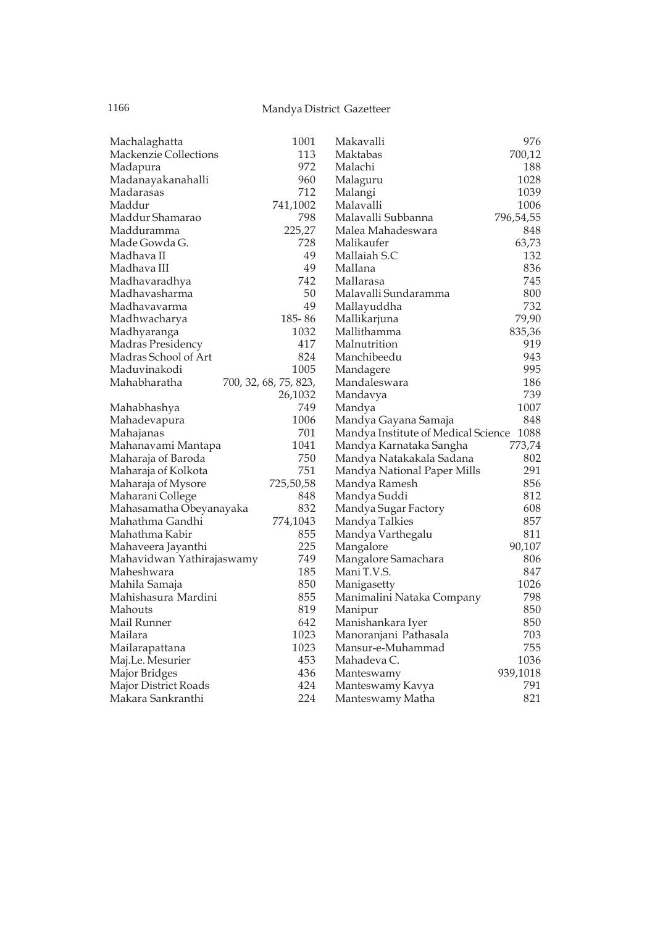| Machalaghatta             | 1001                  | Makavalli                                | 976       |
|---------------------------|-----------------------|------------------------------------------|-----------|
| Mackenzie Collections     | 113                   | Maktabas                                 | 700,12    |
| Madapura                  | 972                   | Malachi                                  | 188       |
| Madanayakanahalli         | 960                   | Malaguru                                 | 1028      |
| Madarasas                 | 712                   | Malangi                                  | 1039      |
| Maddur                    | 741,1002              | Malavalli                                | 1006      |
| Maddur Shamarao           | 798                   | Malavalli Subbanna                       | 796,54,55 |
| Madduramma                | 225,27                | Malea Mahadeswara                        | 848       |
| Made Gowda G.             | 728                   | Malikaufer                               | 63,73     |
| Madhava II                | 49                    | Mallaiah S.C                             | 132       |
| Madhava III               | 49                    | Mallana                                  | 836       |
| Madhavaradhya             | 742                   | Mallarasa                                | 745       |
| Madhavasharma             | 50                    | Malavalli Sundaramma                     | 800       |
| Madhavavarma              | 49                    | Mallayuddha                              | 732       |
| Madhwacharya              | 185-86                | Mallikarjuna                             | 79,90     |
| Madhyaranga               | 1032                  | Mallithamma                              | 835,36    |
| Madras Presidency         | 417                   | Malnutrition                             | 919       |
| Madras School of Art      | 824                   | Manchibeedu                              | 943       |
| Maduvinakodi              | 1005                  | Mandagere                                | 995       |
| Mahabharatha              | 700, 32, 68, 75, 823, | Mandaleswara                             | 186       |
|                           | 26,1032               | Mandavya                                 | 739       |
| Mahabhashya               | 749                   | Mandya                                   | 1007      |
| Mahadevapura              | 1006                  | Mandya Gayana Samaja                     | 848       |
| Mahajanas                 | 701                   | Mandya Institute of Medical Science 1088 |           |
| Mahanavami Mantapa        | 1041                  | Mandya Karnataka Sangha                  | 773,74    |
| Maharaja of Baroda        | 750                   | Mandya Natakakala Sadana                 | 802       |
| Maharaja of Kolkota       | 751                   | Mandya National Paper Mills              | 291       |
| Maharaja of Mysore        | 725,50,58             | Mandya Ramesh                            | 856       |
| Maharani College          | 848                   | Mandya Suddi                             | 812       |
| Mahasamatha Obeyanayaka   | 832                   | Mandya Sugar Factory                     | 608       |
| Mahathma Gandhi           | 774,1043              | Mandya Talkies                           | 857       |
| Mahathma Kabir            | 855                   | Mandya Varthegalu                        | 811       |
| Mahaveera Jayanthi        | 225                   | Mangalore                                | 90,107    |
| Mahavidwan Yathirajaswamy | 749                   | Mangalore Samachara                      | 806       |
| Maheshwara                | 185                   | Mani T.V.S.                              | 847       |
| Mahila Samaja             | 850                   | Manigasetty                              | 1026      |
| Mahishasura Mardini       | 855                   | Manimalini Nataka Company                | 798       |
| Mahouts                   | 819                   | Manipur                                  | 850       |
| Mail Runner               | 642                   | Manishankara Iyer                        | 850       |
| Mailara                   | 1023                  | Manoranjani Pathasala                    | 703       |
| Mailarapattana            | 1023                  | Mansur-e-Muhammad                        | 755       |
| Maj.Le. Mesurier          | 453                   | Mahadeva C.                              | 1036      |
| Major Bridges             | 436                   | Manteswamy                               | 939,1018  |
| Major District Roads      | 424                   | Manteswamy Kavya                         | 791       |
| Makara Sankranthi         | 224                   | Manteswamy Matha                         | 821       |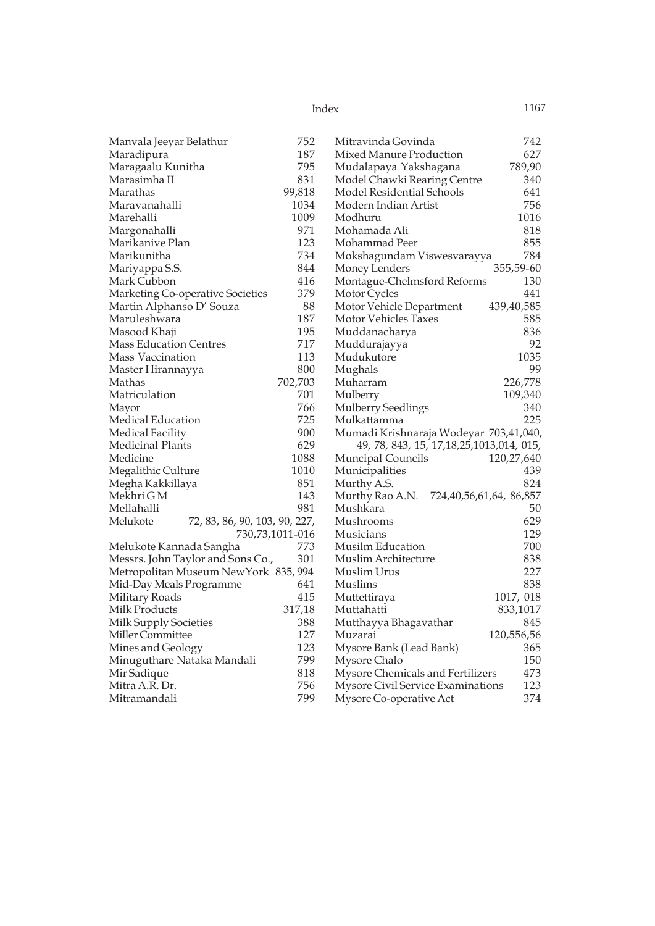| Index | 1167 |
|-------|------|
|       |      |

| Manvala Jeeyar Belathur                   | 752             | Mitravinda Govinda                           | 742        |
|-------------------------------------------|-----------------|----------------------------------------------|------------|
| Maradipura                                | 187             | Mixed Manure Production                      | 627        |
| Maragaalu Kunitha                         | 795             | Mudalapaya Yakshagana                        | 789,90     |
| Marasimha II                              | 831             | Model Chawki Rearing Centre                  | 340        |
| Marathas                                  | 99,818          | Model Residential Schools                    | 641        |
| Maravanahalli                             | 1034            | Modern Indian Artist                         | 756        |
| Marehalli                                 | 1009            | Modhuru                                      | 1016       |
| Margonahalli                              | 971             | Mohamada Ali                                 | 818        |
| Marikanive Plan                           | 123             | Mohammad Peer                                | 855        |
| Marikunitha                               | 734             | Mokshagundam Viswesvarayya                   | 784        |
| Mariyappa S.S.                            | 844             | Money Lenders                                | 355,59-60  |
| Mark Cubbon                               | 416             | Montague-Chelmsford Reforms                  | 130        |
| Marketing Co-operative Societies          | 379             | Motor Cycles                                 | 441        |
| Martin Alphanso D' Souza                  | 88              | Motor Vehicle Department                     | 439,40,585 |
| Maruleshwara                              | 187             | Motor Vehicles Taxes                         | 585        |
| Masood Khaji                              | 195             | Muddanacharya                                | 836        |
| <b>Mass Education Centres</b>             | 717             | Muddurajayya                                 | 92         |
| Mass Vaccination                          | 113             | Mudukutore                                   | 1035       |
| Master Hirannayya                         | 800             | Mughals                                      | 99         |
| Mathas                                    | 702,703         | Muharram                                     | 226,778    |
| Matriculation                             | 701             | Mulberry                                     | 109,340    |
| Mayor                                     | 766             | <b>Mulberry Seedlings</b>                    | 340        |
| Medical Education                         | 725             | Mulkattamma                                  | 225        |
| Medical Facility                          | 900             | Mumadi Krishnaraja Wodeyar 703,41,040,       |            |
| Medicinal Plants                          | 629             | 49, 78, 843, 15, 17, 18, 25, 1013, 014, 015, |            |
| Medicine                                  | 1088            | <b>Muncipal Councils</b>                     | 120,27,640 |
| Megalithic Culture                        | 1010            | Municipalities                               | 439        |
| Megha Kakkillaya                          | 851             | Murthy A.S.                                  | 824        |
| Mekhri G M                                | 143             | Murthy Rao A.N.<br>724,40,56,61,64, 86,857   |            |
| Mellahalli                                | 981             | Mushkara                                     | 50         |
| Melukote<br>72, 83, 86, 90, 103, 90, 227, |                 | Mushrooms                                    | 629        |
|                                           | 730,73,1011-016 | Musicians                                    | 129        |
| Melukote Kannada Sangha                   | 773             | Musilm Education                             | 700        |
| Messrs. John Taylor and Sons Co.,         | 301             | Muslim Architecture                          | 838        |
| Metropolitan Museum NewYork 835, 994      |                 | Muslim Urus                                  | 227        |
| Mid-Day Meals Programme                   | 641             | Muslims                                      | 838        |
| Military Roads                            | 415             | Muttettiraya                                 | 1017, 018  |
| Milk Products                             | 317,18          | Muttahatti                                   | 833,1017   |
| Milk Supply Societies                     | 388             | Mutthayya Bhagavathar                        | 845        |
| Miller Committee                          | 127             | Muzarai                                      | 120,556,56 |
| Mines and Geology                         | 123             | Mysore Bank (Lead Bank)                      | 365        |
| Minuguthare Nataka Mandali                | 799             | Mysore Chalo                                 | 150        |
| Mir Sadique                               | 818             | Mysore Chemicals and Fertilizers             | 473        |
| Mitra A.R. Dr.                            | 756             | Mysore Civil Service Examinations            | 123        |
| Mitramandali                              | 799             | Mysore Co-operative Act                      | 374        |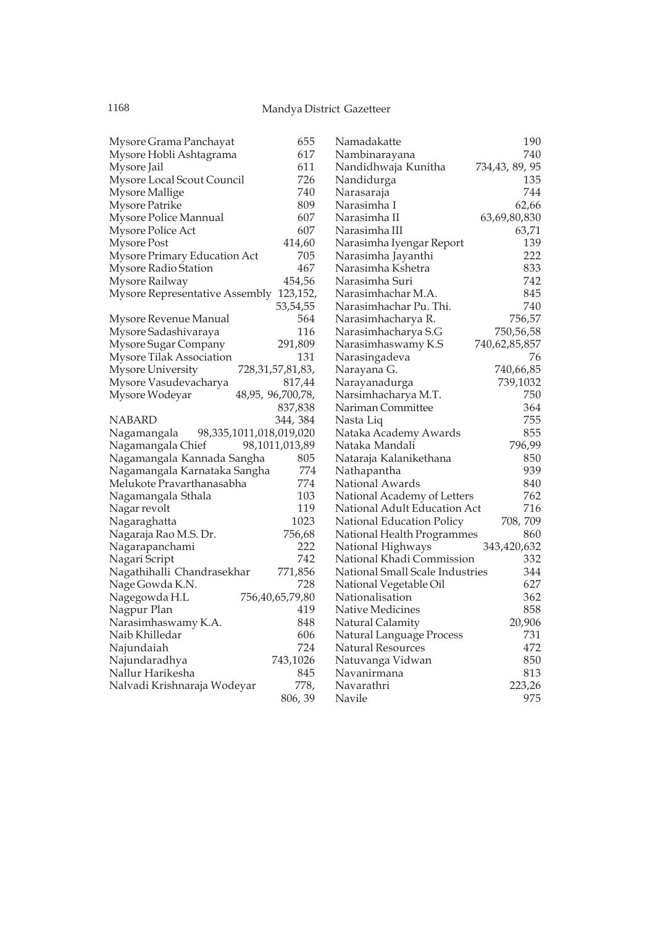| Mysore Grama Panchayat                           | 655            |
|--------------------------------------------------|----------------|
| Mysore Hobli Ashtagrama                          | 617            |
| Mysore Jail                                      | 611            |
| Mysore Local Scout Council                       | 726            |
| <b>Mysore Mallige</b>                            | 740            |
|                                                  |                |
| <b>Mysore Patrike</b>                            | 809            |
| Mysore Police Mannual                            | 607            |
| Mysore Police Act                                | 607            |
| Mysore Post                                      | 414,60         |
| Mysore Primary Education Act                     | 705            |
| Mysore Radio Station                             | 467            |
| Mysore Railway                                   | 454,56         |
| Mysore Representative Assembly                   | 123,152,       |
|                                                  | 53,54,55       |
| Mysore Revenue Manual                            | 564            |
| Mysore Sadashivaraya                             | 116            |
| Mysore Sugar Company                             | 291,809        |
| Mysore Tilak Association                         | 131            |
|                                                  |                |
| <b>Mysore University</b><br>728, 31, 57, 81, 83, |                |
| Mysore Vasudevacharya                            | 817,44         |
| 48,95, 96,700,78,<br>Mysore Wodeyar              |                |
|                                                  | 837,838        |
| NABARD                                           | 344, 384       |
| 98,335,1011,018,019,020<br>Nagamangala           |                |
| Nagamangala Chief                                | 98,1011,013,89 |
| Nagamangala Kannada Sangha                       | 805            |
| Nagamangala Karnataka Sangha                     | 774            |
| Meľukote Pravarthanasabha                        | 774            |
| Nagamangala Sthala                               | 103            |
| Nagar revolt                                     | 119            |
| Nagaraghatta                                     | 1023           |
| Nagaraja Rao M.S. Dr.                            | 756,68         |
| Nagarapanchami                                   | 222            |
| Nagari Script                                    | 742            |
|                                                  |                |
| Nagathihalli Chandrasekhar                       | 771,856        |
| Nage Gowda K.N.                                  | 728            |
| Nagegowda H.L<br>756,40,65,79,80                 |                |
| Nagpur Plan                                      | 419            |
| Narasimhaswamy K.A.                              | 848            |
| Naib Khilledar                                   | 606            |
| Najundaiah                                       | 724            |
| Najundaradhya                                    | 743,1026       |
| Nallur Harikesha                                 | 845            |
| Nalvadi Krishnaraja Wodeyar                      | 778,           |
|                                                  | 806, 39        |
|                                                  |                |

| Namadakatte                     | 190            |
|---------------------------------|----------------|
| Nambinarayana                   | 740            |
| Nandidhwaja Kunitha             | 734,43, 89, 95 |
| Nandidurga                      | 135            |
| Narasaraja                      | 744            |
| Narasimha I                     | 62,66          |
| Narasimha II                    | 63,69,80,830   |
| Narasimha III                   | 63,71          |
| Narasimha Iyengar Report        | 139            |
| Narasimha Jayanthi              | 222            |
| Narasimha Kshetra               | 833            |
| Narasimha Suri                  | 742            |
| Narasimhachar M.A.              | 845            |
| Narasimhachar Pu. Thi.          | 740            |
| Narasimhacharya R.              | 756,57         |
| Narasimhacharya S.G             | 750,56,58      |
| Narasimhaswamy K.S              | 740,62,85,857  |
| Narasingadeva                   | 76             |
| Narayana G.                     | 740,66,85      |
| Narayanadurga                   | 739,1032       |
| Narsimhacharya M.T.             | 750            |
| Nariman Committee               | 364            |
| Nasta Liq                       | 755            |
| Nataka Academy Awards           | 855            |
| Nataka Mandali                  | 796,99         |
| Nataraja Kalanikethana          | 850            |
| Nathapantha                     | 939            |
| National Awards                 | 840            |
| National Academy of Letters     | 762            |
| National Adult Education Act    | 716            |
| National Education Policy       | 708, 709       |
| National Health Programmes      | 860            |
| National Highways               | 343,420,632    |
| National Khadi Commission       | 332            |
| National Small Scale Industries | 344            |
| National Vegetable Oil          | 627            |
| Nationalisation                 | 362            |
| Native Medicines                | 858            |
| Natural Calamity                | 20,906         |
| Natural Language Process        | 731            |
| Natural Resources               | 472            |
| Natuvanga Vidwan                | 850            |
| Navanirmana                     | 813            |
| Navarathri                      | 223,26         |
| Navile                          | 975            |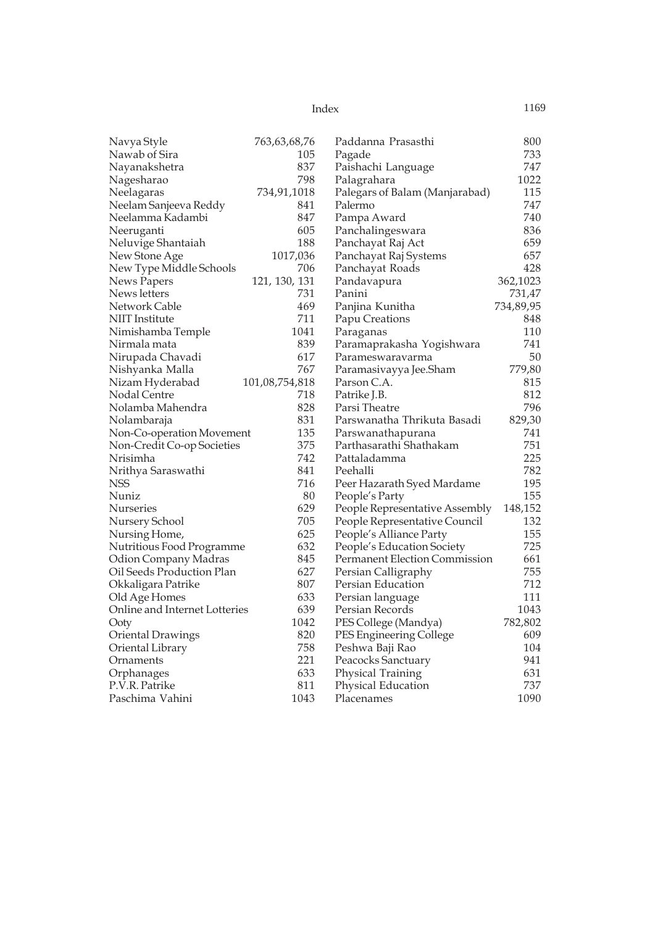| Index | 1169 |
|-------|------|
|       |      |

| Navya Style                   | 763,63,68,76   | Paddanna Prasasthi                   | 800       |
|-------------------------------|----------------|--------------------------------------|-----------|
| Nawab of Sira                 | 105            | Pagade                               | 733       |
| Nayanakshetra                 | 837            | Paishachi Language                   | 747       |
| Nagesharao                    | 798            | Palagrahara                          | 1022      |
| Neelagaras                    | 734,91,1018    | Palegars of Balam (Manjarabad)       | 115       |
| Neelam Sanjeeva Reddy         | 841            | Palermo                              | 747       |
| Neelamma Kadambi              | 847            | Pampa Award                          | 740       |
| Neeruganti                    | 605            | Panchalingeswara                     | 836       |
| Neluvige Shantaiah            | 188            | Panchayat Raj Act                    | 659       |
| New Stone Age                 | 1017,036       | Panchayat Raj Systems                | 657       |
| New Type Middle Schools       | 706            | Panchayat Roads                      | 428       |
| News Papers                   | 121, 130, 131  | Pandavapura                          | 362,1023  |
| News letters                  | 731            | Panini                               | 731,47    |
| Network Cable                 | 469            | Panjina Kunitha                      | 734,89,95 |
| <b>NIIT</b> Institute         | 711            | Papu Creations                       | 848       |
| Nimishamba Temple             | 1041           | Paraganas                            | 110       |
| Nirmala mata                  | 839            | Paramaprakasha Yogishwara            | 741       |
| Nirupada Chavadi              | 617            | Parameswaravarma                     | 50        |
| Nishyanka Malla               | 767            | Paramasivayya Jee.Sham               | 779,80    |
| Nizam Hyderabad               | 101,08,754,818 | Parson C.A.                          | 815       |
| Nodal Centre                  | 718            | Patrike J.B.                         | 812       |
| Nolamba Mahendra              | 828            | Parsi Theatre                        | 796       |
| Nolambaraja                   | 831            | Parswanatha Thrikuta Basadi          | 829,30    |
| Non-Co-operation Movement     | 135            | Parswanathapurana                    | 741       |
| Non-Credit Co-op Societies    | 375            | Parthasarathi Shathakam              | 751       |
| Nrisimha                      | 742            | Pattaladamma                         | 225       |
| Nrithya Saraswathi            | 841            | Peehalli                             | 782       |
| NSS                           | 716            | Peer Hazarath Syed Mardame           | 195       |
| Nuniz                         | 80             | People's Party                       | 155       |
| <b>Nurseries</b>              | 629            | People Representative Assembly       | 148,152   |
| Nursery School                | 705            | People Representative Council        | 132       |
| Nursing Home,                 | 625            | People's Alliance Party              | 155       |
| Nutritious Food Programme     | 632            | People's Education Society           | 725       |
| Odion Company Madras          | 845            | <b>Permanent Election Commission</b> | 661       |
| Oil Seeds Production Plan     | 627            | Persian Calligraphy                  | 755       |
| Okkaligara Patrike            | 807            | Persian Education                    | 712       |
| Old Age Homes                 | 633            | Persian language                     | 111       |
| Online and Internet Lotteries | 639            | Persian Records                      | 1043      |
| Ooty                          | 1042           | PES College (Mandya)                 | 782,802   |
| Oriental Drawings             | 820            | PES Engineering College              | 609       |
| Oriental Library              | 758            | Peshwa Baji Rao                      | 104       |
| Ornaments                     | 221            | Peacocks Sanctuary                   | 941       |
| Orphanages                    | 633            | Physical Training                    | 631       |
| P.V.R. Patrike                | 811            | Physical Education                   | 737       |
| Paschima Vahini               | 1043           | Placenames                           | 1090      |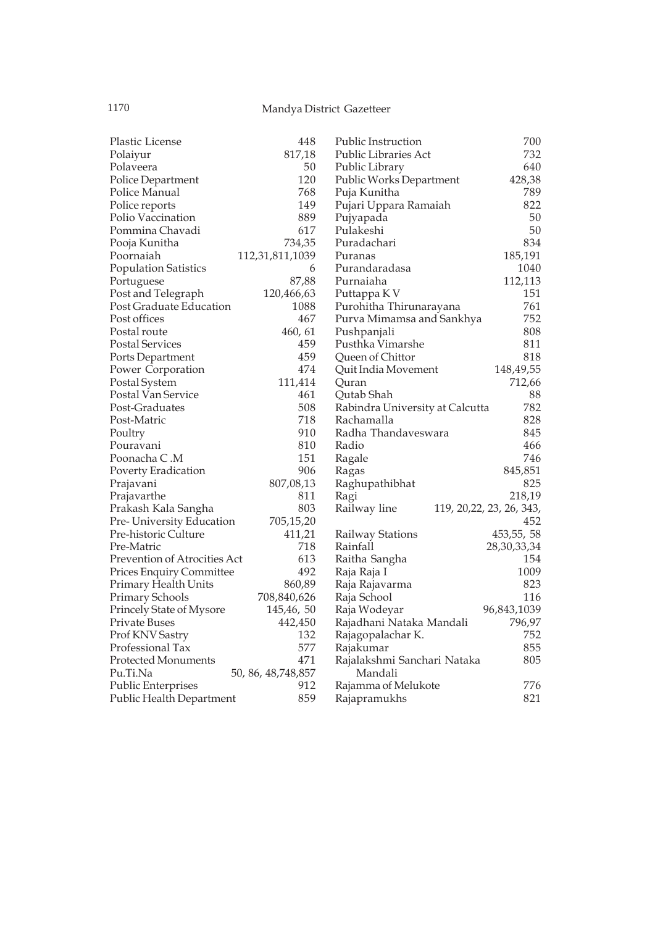| Plastic License              | 448                  | <b>Public Instruction</b>       | 700                       |
|------------------------------|----------------------|---------------------------------|---------------------------|
| Polaiyur                     | 817,18               | Public Libraries Act            | 732                       |
| Polaveera                    | 50                   | Public Library                  | 640                       |
| Police Department            | 120                  | Public Works Department         | 428,38                    |
| Police Manual                | 768                  | Puja Kunitha                    | 789                       |
| Police reports               | 149                  | Pujari Uppara Ramaiah           | 822                       |
| Polio Vaccination            | 889                  | Pujyapada                       | 50                        |
| Pommina Chavadi              | 617                  | Pulakeshi                       | 50                        |
| Pooja Kunitha                | 734,35               | Puradachari                     | 834                       |
| Poornaiah                    | 112,31,811,1039      | Puranas                         | 185,191                   |
| <b>Population Satistics</b>  | 6                    | Purandaradasa                   | 1040                      |
| Portuguese                   | 87,88                | Purnaiaha                       | 112,113                   |
| Post and Telegraph           | 120,466,63           | Puttappa K V                    | 151                       |
| Post Graduate Education      | 1088                 | Purohitha Thirunarayana         | 761                       |
| Post offices                 | 467                  | Purva Mimamsa and Sankhya       | 752                       |
| Postal route                 | 460, 61              | Pushpanjali                     | 808                       |
| Postal Services              | 459                  | Pusthka Vimarshe                | 811                       |
| Ports Department             | 459                  | Queen of Chittor                | 818                       |
| Power Corporation            | 474                  | Quit India Movement             | 148,49,55                 |
| Postal System                | 111,414              | Quran                           | 712,66                    |
| Postal Van Service           | 461                  | Qutab Shah                      | 88                        |
| Post-Graduates               | 508                  | Rabindra University at Calcutta | 782                       |
| Post-Matric                  | 718                  | Rachamalla                      | 828                       |
| Poultry                      | 910                  | Radha Thandaveswara             | 845                       |
| Pouravani                    | 810                  | Radio                           | 466                       |
| Poonacha C.M                 | 151                  | Ragale                          | 746                       |
| Poverty Eradication          | 906                  | Ragas                           | 845,851                   |
| Prajavani                    | 807,08,13            | Raghupathibhat                  | 825                       |
| Prajavarthe                  | 811                  | Ragi                            | 218,19                    |
| Prakash Kala Sangha          | 803                  | Railway line                    | 119, 20, 22, 23, 26, 343, |
| Pre-University Education     | 705,15,20            |                                 | 452                       |
| Pre-historic Culture         | 411,21               | Railway Stations                | 453, 55, 58               |
| Pre-Matric                   | 718                  | Rainfall                        | 28,30,33,34               |
| Prevention of Atrocities Act | 613                  | Raitha Sangha                   | 154                       |
| Prices Enquiry Committee     | 492                  | Raja Raja I                     | 1009                      |
| Primary Health Units         | 860,89               | Raja Rajavarma                  | 823                       |
| Primary Schools              | 708,840,626          | Raja School                     | 116                       |
| Princely State of Mysore     | 145,46,50            | Raja Wodeyar                    | 96,843,1039               |
| Private Buses                | 442,450              | Rajadhani Nataka Mandali        | 796,97                    |
| Prof KNV Sastry              | 132                  | Rajagopalachar K.               | 752                       |
| Professional Tax             | 577                  | Rajakumar                       | 855                       |
| <b>Protected Monuments</b>   | 471                  | Rajalakshmi Sanchari Nataka     | 805                       |
| Pu.Ti.Na                     | 50, 86, 48, 748, 857 | Mandali                         |                           |
| Public Enterprises           | 912                  | Rajamma of Melukote             | 776                       |
| Public Health Department     | 859                  | Rajapramukhs                    | 821                       |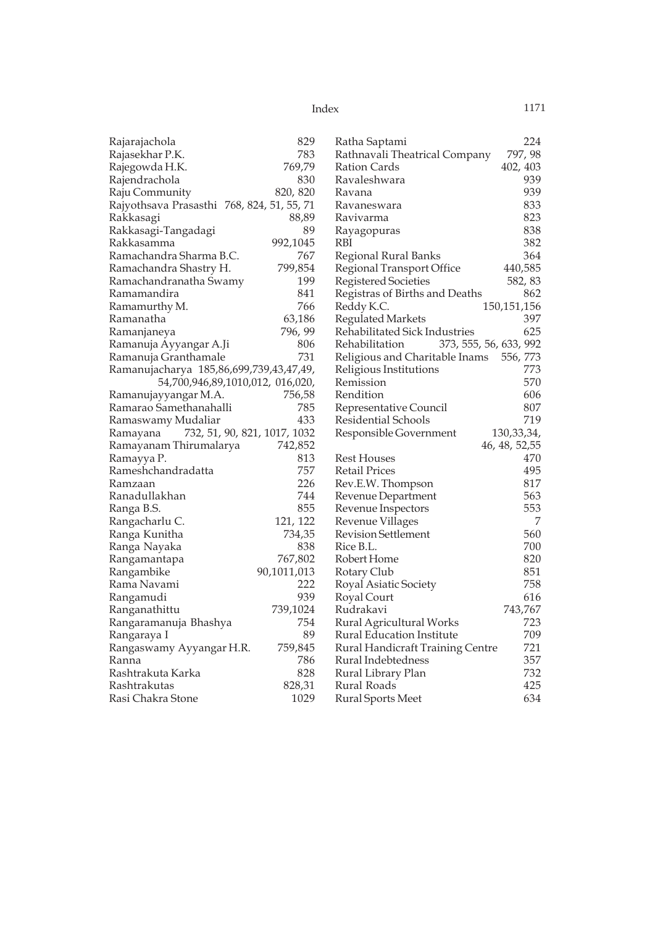| Rajarajachola                              | 829         | Ratha Saptami                            | 224            |
|--------------------------------------------|-------------|------------------------------------------|----------------|
| Rajasekhar P.K.                            | 783         | Rathnavali Theatrical Company            | 797, 98        |
| Rajegowda H.K.                             | 769,79      | Ration Cards                             | 402, 403       |
| Rajendrachola                              | 830         | Ravaleshwara                             | 939            |
| Raju Community                             | 820, 820    | Ravana                                   | 939            |
| Rajyothsava Prasasthi 768, 824, 51, 55, 71 |             | Ravaneswara                              | 833            |
| Rakkasagi                                  | 88,89       | Ravivarma                                | 823            |
| Rakkasagi-Tangadagi                        | 89          | Rayagopuras                              | 838            |
| Rakkasamma                                 | 992,1045    | RBI                                      | 382            |
| Ramachandra Sharma B.C.                    | 767         | Regional Rural Banks                     | 364            |
| Ramachandra Shastry H.                     | 799,854     | Regional Transport Office                | 440,585        |
| Ramachandranatha Swamy                     | 199         | <b>Registered Societies</b>              | 582, 83        |
| Ramamandira                                | 841         | Registras of Births and Deaths           | 862            |
| Ramamurthy M.                              | 766         | Reddy K.C.                               | 150, 151, 156  |
| Ramanatha                                  | 63,186      | <b>Regulated Markets</b>                 | 397            |
| Ramanjaneya                                | 796, 99     | Rehabilitated Sick Industries            | 625            |
| Ramanuja Ayyangar A.Ji                     | 806         | Rehabilitation<br>373, 555, 56, 633, 992 |                |
| Ramanuja Granthamale                       | 731         | Religious and Charitable Inams           | 556, 773       |
| Ramanujacharya 185,86,699,739,43,47,49,    |             | Religious Institutions                   | 773            |
| 54,700,946,89,1010,012, 016,020,           |             | Remission                                | 570            |
| Ramanujayyangar M.A.                       | 756,58      | Rendition                                | 606            |
| Ramarao Samethanahalli                     | 785         | Representative Council                   | 807            |
| Ramaswamy Mudaliar                         | 433         | Residential Schools                      | 719            |
| 732, 51, 90, 821, 1017, 1032<br>Ramayana   |             | Responsible Government                   | 130, 33, 34,   |
| Ramayanam Thirumalarya                     | 742,852     |                                          | 46, 48, 52, 55 |
| Ramayya P.                                 | 813         | <b>Rest Houses</b>                       | 470            |
| Rameshchandradatta                         | 757         | Retail Prices                            | 495            |
| Ramzaan                                    | 226         | Rev.E.W. Thompson                        | 817            |
| Ranadullakhan                              | 744         | Revenue Department                       | 563            |
| Ranga B.S.                                 | 855         | Revenue Inspectors                       | 553            |
| Rangacharlu C.                             | 121, 122    | Revenue Villages                         | 7              |
| Ranga Kunitha                              | 734,35      | <b>Revision Settlement</b>               | 560            |
| Ranga Nayaka                               | 838         | Rice B.L.                                | 700            |
| Rangamantapa                               | 767,802     | Robert Home                              | 820            |
| Rangambike                                 | 90,1011,013 | Rotary Club                              | 851            |
| Rama Navami                                | 222         | Royal Asiatic Society                    | 758            |
| Rangamudi                                  | 939         | Royal Court                              | 616            |
| Ranganathittu                              | 739,1024    | Rudrakavi                                | 743,767        |
| Rangaramanuja Bhashya                      | 754         | Rural Agricultural Works                 | 723            |
| Rangaraya I                                | 89          | Rural Education Institute                | 709            |
| Rangaswamy Ayyangar H.R.                   | 759,845     | Rural Handicraft Training Centre         | 721            |
| Ranna                                      | 786         | Rural Indebtedness                       | 357            |
| Rashtrakuta Karka                          | 828         | Rural Library Plan                       | 732            |
| Rashtrakutas                               | 828,31      | Rural Roads                              | 425            |
| Rasi Chakra Stone                          | 1029        | Rural Sports Meet                        | 634            |
|                                            |             |                                          |                |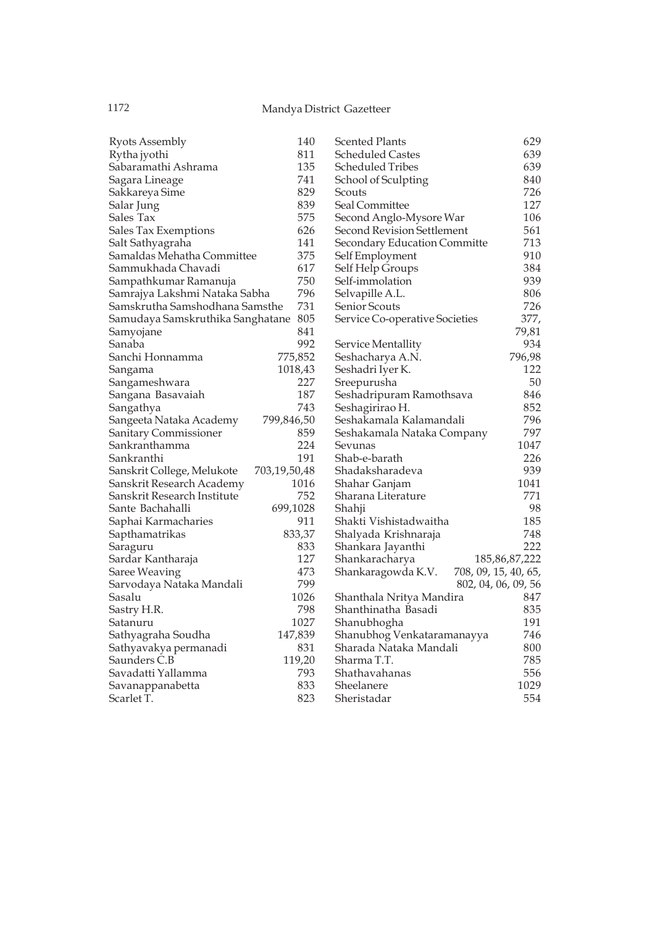| <b>Ryots Assembly</b>            | 140          | Scented Plants                 | 629                  |
|----------------------------------|--------------|--------------------------------|----------------------|
| Rytha jyothi                     | 811          | Scheduled Castes               | 639                  |
| Sabaramathi Ashrama              | 135          | Scheduled Tribes               | 639                  |
| Sagara Lineage                   | 741          | School of Sculpting            | 840                  |
| Sakkareya Sime                   | 829          | Scouts                         | 726                  |
| Salar Jung                       | 839          | Seal Committee                 | 127                  |
| Sales Tax                        | 575          | Second Anglo-Mysore War        | 106                  |
| Sales Tax Exemptions             | 626          | Second Revision Settlement     | 561                  |
| Salt Sathyagraha                 | 141          | Secondary Education Committe   | 713                  |
| Samaldas Mehatha Committee       | 375          | Self Employment                | 910                  |
| Sammukhada Chavadi               | 617          | Self Help Groups               | 384                  |
| Sampathkumar Ramanuja            | 750          | Self-immolation                | 939                  |
| Samrajya Lakshmi Nataka Sabha    | 796          | Selvapille A.L.                | 806                  |
| Samskrutha Samshodhana Samsthe   | 731          | Senior Scouts                  | 726                  |
| Samudaya Samskruthika Sanghatane | 805          | Service Co-operative Societies | 377,                 |
| Samyojane                        | 841          |                                | 79,81                |
| Sanaba                           | 992          | Service Mentallity             | 934                  |
| Sanchi Honnamma                  | 775,852      | Seshacharya A.N.               | 796,98               |
| Sangama                          | 1018,43      | Seshadri Iyer K.               | 122                  |
| Sangameshwara                    | 227          | Sreepurusha                    | 50                   |
| Sangana Basavaiah                | 187          | Seshadripuram Ramothsava       | 846                  |
| Sangathya                        | 743          | Seshagirirao H.                | 852                  |
| Sangeeta Nataka Academy          | 799,846,50   | Seshakamala Kalamandali        | 796                  |
| Sanitary Commissioner            | 859          | Seshakamala Nataka Company     | 797                  |
| Sankranthamma                    | 224          | Sevunas                        | 1047                 |
| Sankranthi                       | 191          | Shab-e-barath                  | 226                  |
| Sanskrit College, Melukote       | 703,19,50,48 | Shadaksharadeva                | 939                  |
| Sanskrit Research Academy        | 1016         | Shahar Ganjam                  | 1041                 |
| Sanskrit Research Institute      | 752          | Sharana Literature             | 771                  |
| Sante Bachahalli                 | 699,1028     | Shahji                         | 98                   |
| Saphai Karmacharies              | 911          | Shakti Vishistadwaitha         | 185                  |
| Sapthamatrikas                   | 833,37       | Shalyada Krishnaraja           | 748                  |
| Saraguru                         | 833          | Shankara Jayanthi              | 222                  |
| Sardar Kantharaja                | 127          | Shankaracharya                 | 185, 86, 87, 222     |
| Saree Weaving                    | 473          | Shankaragowda K.V.             | 708, 09, 15, 40, 65, |
| Sarvodaya Nataka Mandali         | 799          |                                | 802, 04, 06, 09, 56  |
| Sasalu                           | 1026         | Shanthala Nritya Mandira       | 847                  |
| Sastry H.R.                      | 798          | Shanthinatha Basadi            | 835                  |
| Satanuru                         | 1027         | Shanubhogha                    | 191                  |
| Sathyagraha Soudha               | 147,839      | Shanubhog Venkataramanayya     | 746                  |
| Sathyavakya permanadi            | 831          | Sharada Nataka Mandali         | 800                  |
| Saunders C.B                     | 119,20       | Sharma T.T.                    | 785                  |
| Savadatti Yallamma               | 793          | Shathavahanas                  | 556                  |
| Savanappanabetta                 | 833          | Sheelanere                     | 1029                 |
| Scarlet T.                       | 823          | Sheristadar                    | 554                  |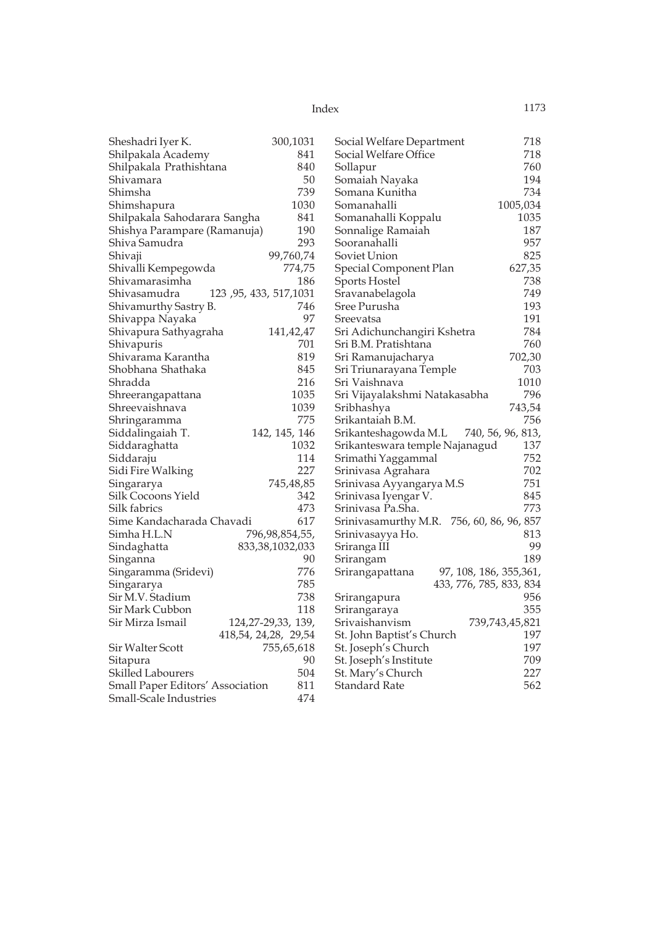| Index | 1173 |
|-------|------|
|       |      |

| Sheshadri Iyer K.                | 300,1031                | Social Welfare Department                 | 718                     |
|----------------------------------|-------------------------|-------------------------------------------|-------------------------|
| Shilpakala Academy               | 841                     | Social Welfare Office                     | 718                     |
| Shilpakala Prathishtana          | 840                     | Sollapur                                  | 760                     |
| Shivamara                        | 50                      | Somaiah Nayaka                            | 194                     |
| Shimsha                          | 739                     | Somana Kunitha                            | 734                     |
| Shimshapura                      | 1030                    | Somanahalli                               | 1005,034                |
| Shilpakala Sahodarara Sangha     | 841                     | Somanahalli Koppalu                       | 1035                    |
| Shishya Parampare (Ramanuja)     | 190                     | Sonnalige Ramaiah                         | 187                     |
| Shiva Samudra                    | 293                     | Sooranahalli                              | 957                     |
| Shivaji                          | 99,760,74               | Soviet Union                              | 825                     |
| Shivalli Kempegowda              | 774,75                  | Special Component Plan                    | 627,35                  |
| Shivamarasimha                   | 186                     | <b>Sports Hostel</b>                      | 738                     |
| Shivasamudra                     | 123, 95, 433, 517, 1031 | Sravanabelagola                           | 749                     |
| Shivamurthy Sastry B.            | 746                     | Sree Purusha                              | 193                     |
| Shivappa Nayaka                  | 97                      | Sreevatsa                                 | 191                     |
| Shivapura Sathyagraha            | 141,42,47               | Sri Adichunchangiri Kshetra               | 784                     |
| Shivapuris                       | 701                     | Sri B.M. Pratishtana                      | 760                     |
| Shivarama Karantha               | 819                     | Sri Ramanujacharya                        | 702,30                  |
| Shobhana Shathaka                | 845                     | Sri Triunarayana Temple                   | 703                     |
| Shradda                          | 216                     | Sri Vaishnava                             | 1010                    |
| Shreerangapattana                | 1035                    | Sri Vijayalakshmi Natakasabha             | 796                     |
| Shreevaishnava                   | 1039                    | Sribhashya                                | 743,54                  |
| Shringaramma                     | 775                     | Srikantaiah B.M.                          | 756                     |
| Siddalingaiah T.                 | 142, 145, 146           | Srikanteshagowda M.L                      | 740, 56, 96, 813,       |
| Siddaraghatta                    | 1032                    | Srikanteswara temple Najanagud            | 137                     |
| Siddaraju                        | 114                     | Srimathi Yaggammal                        | 752                     |
| Sidi Fire Walking                | 227                     | Srinivasa Agrahara                        | 702                     |
| Singararya                       | 745,48,85               | Srinivasa Ayyangarya M.S                  | 751                     |
| Silk Cocoons Yield               | 342                     | Srinivasa Iyengar V.                      | 845                     |
| Silk fabrics                     | 473                     | Srinivasa Pa.Sha.                         | 773                     |
| Sime Kandacharada Chavadi        | 617                     | Srinivasamurthy M.R. 756, 60, 86, 96, 857 |                         |
| Simha H.L.N                      | 796,98,854,55,          | Srinivasayya Ho.                          | 813                     |
| Sindaghatta                      | 833, 38, 1032, 033      | Sriranga III                              | 99                      |
| Singanna                         | 90                      | Srirangam                                 | 189                     |
| Singaramma (Sridevi)             | 776                     | Srirangapattana                           | 97, 108, 186, 355, 361, |
| Singararya                       | 785                     |                                           | 433, 776, 785, 833, 834 |
| Sir M.V. Stadium                 | 738                     | Srirangapura                              | 956                     |
| Sir Mark Cubbon                  | 118                     | Srirangaraya                              | 355                     |
| Sir Mirza Ismail                 | 124, 27-29, 33, 139,    | Srivaishanvism                            | 739,743,45,821          |
|                                  | 418,54, 24,28, 29,54    | St. John Baptist's Church                 | 197                     |
| Sir Walter Scott                 | 755,65,618              | St. Joseph's Church                       | 197                     |
| Sitapura                         | 90                      | St. Joseph's Institute                    | 709                     |
| <b>Skilled Labourers</b>         | 504                     | St. Mary's Church                         | 227                     |
| Small Paper Editors' Association | 811                     | Standard Rate                             | 562                     |
| Small-Scale Industries           | 474                     |                                           |                         |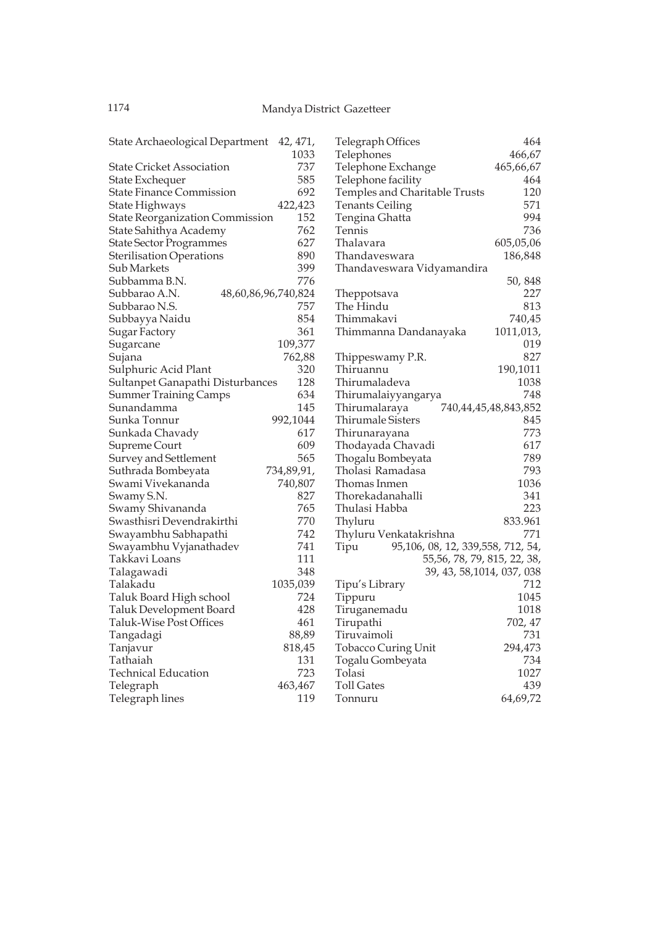| State Archaeological Department 42, 471,      |                     | Telegraph Offices                         | 464                  |
|-----------------------------------------------|---------------------|-------------------------------------------|----------------------|
|                                               | 1033                | Telephones                                | 466,67               |
| <b>State Cricket Association</b>              | 737                 | Telephone Exchange                        | 465,66,67            |
| State Exchequer                               | 585                 | Telephone facility                        | 464                  |
| <b>State Finance Commission</b>               | 692                 | Temples and Charitable Trusts             | 120                  |
| State Highways                                | 422,423             | <b>Tenants Ceiling</b>                    | 571                  |
| <b>State Reorganization Commission</b>        | 152                 | Tengina Ghatta                            | 994                  |
| State Sahithya Academy                        | 762                 | Tennis                                    | 736                  |
| <b>State Sector Programmes</b>                | 627                 | Thalavara                                 | 605,05,06            |
| <b>Sterilisation Operations</b>               | 890                 | Thandaveswara                             | 186,848              |
| Sub Markets                                   | 399                 | Thandaveswara Vidyamandira                |                      |
| Subbamma B.N.                                 | 776                 |                                           | 50, 848              |
| Subbarao A.N.                                 | 48,60,86,96,740,824 | Theppotsava                               | 227                  |
| Subbarao N.S.                                 | 757                 | The Hindu                                 | 813                  |
| Subbayya Naidu                                | 854                 | Thimmakavi                                | 740,45               |
| Sugar Factory                                 | 361                 | Thimmanna Dandanayaka                     | 1011,013,            |
| Sugarcane                                     | 109,377             |                                           | 019                  |
| Sujana                                        | 762,88              | Thippeswamy P.R.                          | 827                  |
| Sulphuric Acid Plant                          | 320                 | Thiruannu                                 | 190,1011             |
| Sultanpet Ganapathi Disturbances              | 128                 | Thirumaladeva                             | 1038                 |
| <b>Summer Training Camps</b>                  | 634                 | Thirumalaiyyangarya                       | 748                  |
| Sunandamma                                    | 145                 | Thirumalaraya                             | 740,44,45,48,843,852 |
| Sunka Tonnur                                  | 992,1044            | <b>Thirumale Sisters</b>                  | 845                  |
| Sunkada Chavady                               | 617                 | Thirunarayana                             | 773                  |
| Supreme Court                                 | 609                 | Thodayada Chavadi                         | 617                  |
| Survey and Settlement                         | 565                 | Thogalu Bombeyata                         | 789                  |
| Suthrada Bombeyata                            | 734,89,91,          | Tholasi Ramadasa                          | 793                  |
| Swami Vivekananda                             | 740,807             | Thomas Inmen                              | 1036                 |
|                                               | 827                 | Thorekadanahalli                          | 341                  |
| Swamy S.N.                                    | 765                 | Thulasi Habba                             | 223                  |
| Swamy Shivananda<br>Swasthisri Devendrakirthi | 770                 |                                           | 833.961              |
|                                               | 742                 | Thyluru                                   | 771                  |
| Swayambhu Sabhapathi                          |                     | Thyluru Venkatakrishna                    |                      |
| Swayambhu Vyjanathadev                        | 741                 | 95,106, 08, 12, 339,558, 712, 54,<br>Tipu |                      |
| Takkavi Loans                                 | 111                 | 55, 56, 78, 79, 815, 22, 38,              |                      |
| Talagawadi                                    | 348                 | 39, 43, 58, 1014, 037, 038                |                      |
| Talakadu                                      | 1035,039            | Tipu's Library                            | 712                  |
| Taluk Board High school                       | 724                 | Tippuru                                   | 1045                 |
| Taluk Development Board                       | 428                 | Tiruganemadu                              | 1018                 |
| Taluk-Wise Post Offices                       | 461                 | Tirupathi                                 | 702, 47              |
| Tangadagi                                     | 88,89               | Tiruvaimoli                               | 731                  |
| Tanjavur                                      | 818,45              | <b>Tobacco Curing Unit</b>                | 294,473              |
| Tathaiah                                      | 131                 | Togalu Gombeyata                          | 734                  |
| <b>Technical Education</b>                    | 723                 | Tolasi                                    | 1027                 |
| Telegraph                                     | 463,467             | <b>Toll Gates</b>                         | 439                  |
| Telegraph lines                               | 119                 | Tonnuru                                   | 64,69,72             |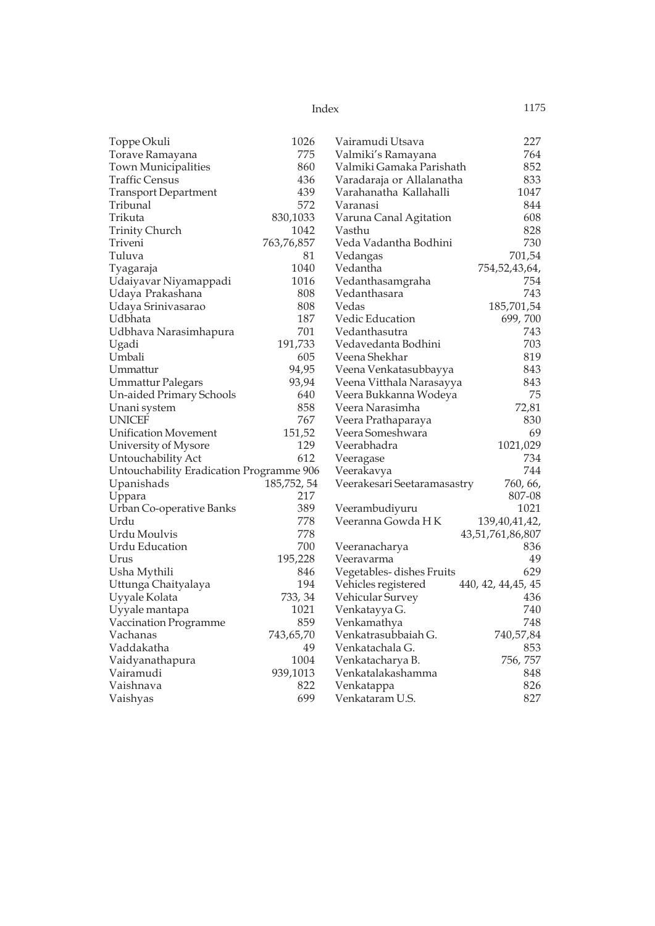| 1175 |
|------|
|      |

| Toppe Okuli<br>Torave Ramayana<br>775<br>Valmiki's Ramayana<br>860<br>Town Municipalities<br>Valmiki Gamaka Parishath<br>436<br>Traffic Census<br>Varadaraja or Allalanatha<br>439<br>Varahanatha Kallahalli<br><b>Transport Department</b> | 764<br>852<br>833<br>1047<br>844<br>608<br>828 |
|---------------------------------------------------------------------------------------------------------------------------------------------------------------------------------------------------------------------------------------------|------------------------------------------------|
|                                                                                                                                                                                                                                             |                                                |
|                                                                                                                                                                                                                                             |                                                |
|                                                                                                                                                                                                                                             |                                                |
|                                                                                                                                                                                                                                             |                                                |
| 572<br>Tribunal<br>Varanasi                                                                                                                                                                                                                 |                                                |
| Trikuta<br>830,1033<br>Varuna Canal Agitation                                                                                                                                                                                               |                                                |
| <b>Trinity Church</b><br>1042<br>Vasthu                                                                                                                                                                                                     |                                                |
| 763,76,857<br>Veda Vadantha Bodhini<br>Triveni                                                                                                                                                                                              | 730                                            |
| Tuluva<br>81<br>Vedangas                                                                                                                                                                                                                    | 701,54                                         |
| Tyagaraja<br>1040<br>Vedantha<br>754,52,43,64,                                                                                                                                                                                              |                                                |
| Udaiyavar Niyamappadi<br>1016<br>Vedanthasamgraha                                                                                                                                                                                           | 754                                            |
| Udaya Prakashana<br>808<br>Vedanthasara                                                                                                                                                                                                     | 743                                            |
| Udaya Srinivasarao<br>808<br>185,701,54<br>Vedas                                                                                                                                                                                            |                                                |
| 187<br>Udbhata<br>Vedic Education<br>699,700                                                                                                                                                                                                |                                                |
| 701<br>Udbhava Narasimhapura<br>Vedanthasutra                                                                                                                                                                                               | 743                                            |
| 191,733<br>Ugadi<br>Vedavedanta Bodhini                                                                                                                                                                                                     | 703                                            |
| Umbali<br>605<br>Veena Shekhar                                                                                                                                                                                                              | 819                                            |
| Ummattur<br>94,95<br>Veena Venkatasubbayya                                                                                                                                                                                                  | 843                                            |
| 93,94<br><b>Ummattur Palegars</b><br>Veena Vitthala Narasayya                                                                                                                                                                               | 843                                            |
| 640<br>Un-aided Primary Schools<br>Veera Bukkanna Wodeya                                                                                                                                                                                    | 75                                             |
| 858<br>Unani system<br>Veera Narasimha                                                                                                                                                                                                      | 72,81                                          |
| <b>UNICEF</b><br>767<br>Veera Prathaparaya                                                                                                                                                                                                  | 830                                            |
| <b>Unification Movement</b><br>151,52<br>Veera Someshwara                                                                                                                                                                                   | 69                                             |
| 129<br>1021,029<br>Veerabhadra<br>University of Mysore                                                                                                                                                                                      |                                                |
| 612<br>Untouchability Act<br>Veeragase                                                                                                                                                                                                      | 734                                            |
| Untouchability Eradication Programme 906<br>Veerakavya                                                                                                                                                                                      | 744                                            |
| 185,752,54<br>Upanishads<br>Veerakesari Seetaramasastry                                                                                                                                                                                     | 760, 66,                                       |
| 217<br>Uppara                                                                                                                                                                                                                               | 807-08                                         |
| 389<br>Urban Co-operative Banks<br>Veerambudiyuru                                                                                                                                                                                           | 1021                                           |
| Urdu<br>778<br>Veeranna Gowda HK<br>139,40,41,42,                                                                                                                                                                                           |                                                |
| Urdu Moulvis<br>778<br>43,51,761,86,807                                                                                                                                                                                                     |                                                |
| Urdu Education<br>700<br>Veeranacharya                                                                                                                                                                                                      | 836                                            |
| Urus<br>195,228<br>Veeravarma                                                                                                                                                                                                               | 49                                             |
| Usha Mythili<br>846<br>Vegetables-dishes Fruits                                                                                                                                                                                             | 629                                            |
| 194<br>Vehicles registered<br>Uttunga Chaityalaya<br>440, 42, 44, 45, 45                                                                                                                                                                    |                                                |
| Uyyale Kolata<br>733, 34<br>Vehicular Survey                                                                                                                                                                                                | 436                                            |
| Uyyale mantapa<br>1021<br>Venkatayya G.                                                                                                                                                                                                     | 740                                            |
| Vaccination Programme<br>859<br>Venkamathya                                                                                                                                                                                                 | 748                                            |
| Vachanas<br>743,65,70<br>740,57,84<br>Venkatrasubbaiah G.                                                                                                                                                                                   |                                                |
| Vaddakatha<br>49<br>Venkatachala G.                                                                                                                                                                                                         | 853                                            |
| 1004<br>756, 757<br>Vaidyanathapura<br>Venkatacharya B.                                                                                                                                                                                     |                                                |
| Vairamudi<br>939,1013<br>Venkatalakashamma                                                                                                                                                                                                  | 848                                            |
| Vaishnava<br>822<br>Venkatappa                                                                                                                                                                                                              | 826                                            |
| 699<br>Vaishyas<br>Venkataram U.S.                                                                                                                                                                                                          | 827                                            |